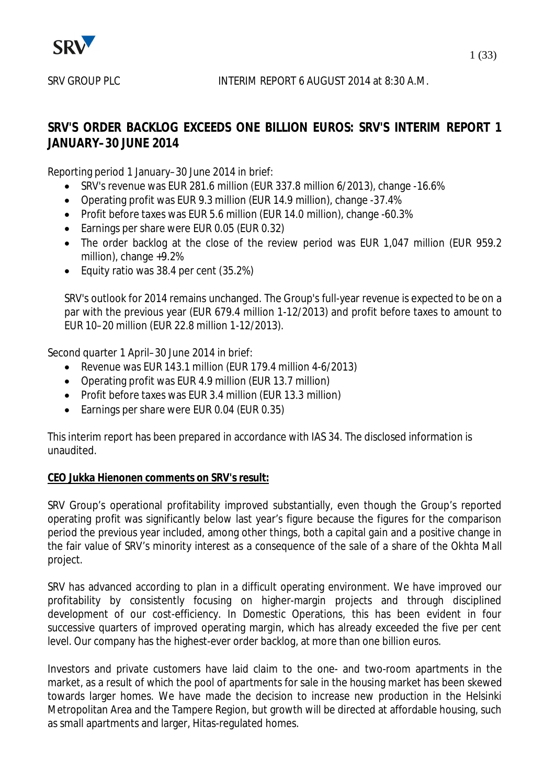

# **SRV'S ORDER BACKLOG EXCEEDS ONE BILLION EUROS: SRV'S INTERIM REPORT 1 JANUARY–30 JUNE 2014**

Reporting period 1 January–30 June 2014 in brief:

- $\bullet$  SRV's revenue was EUR 281.6 million (EUR 337.8 million 6/2013), change -16.6%
- Operating profit was EUR 9.3 million (EUR 14.9 million), change -37.4%
- Profit before taxes was EUR 5.6 million (EUR 14.0 million), change -60.3%
- Earnings per share were EUR 0.05 (EUR 0.32)
- The order backlog at the close of the review period was EUR 1,047 million (EUR 959.2) million), change +9.2%
- Equity ratio was  $38.4$  per cent  $(35.2%)$

SRV's outlook for 2014 remains unchanged. The Group's full-year revenue is expected to be on a par with the previous year (EUR 679.4 million 1-12/2013) and profit before taxes to amount to EUR 10–20 million (EUR 22.8 million 1-12/2013).

Second quarter 1 April–30 June 2014 in brief:

- $\bullet$  Revenue was EUR 143.1 million (EUR 179.4 million 4-6/2013)
- Operating profit was EUR 4.9 million (EUR 13.7 million)
- Profit before taxes was EUR 3.4 million (EUR 13.3 million)
- Earnings per share were EUR 0.04 (EUR 0.35)

This interim report has been prepared in accordance with IAS 34. The disclosed information is unaudited.

# **CEO Jukka Hienonen comments on SRV's result:**

SRV Group's operational profitability improved substantially, even though the Group's reported operating profit was significantly below last year's figure because the figures for the comparison period the previous year included, among other things, both a capital gain and a positive change in the fair value of SRV's minority interest as a consequence of the sale of a share of the Okhta Mall project.

SRV has advanced according to plan in a difficult operating environment. We have improved our profitability by consistently focusing on higher-margin projects and through disciplined development of our cost-efficiency. In Domestic Operations, this has been evident in four successive quarters of improved operating margin, which has already exceeded the five per cent level. Our company has the highest-ever order backlog, at more than one billion euros.

Investors and private customers have laid claim to the one- and two-room apartments in the market, as a result of which the pool of apartments for sale in the housing market has been skewed towards larger homes. We have made the decision to increase new production in the Helsinki Metropolitan Area and the Tampere Region, but growth will be directed at affordable housing, such as small apartments and larger, Hitas-regulated homes.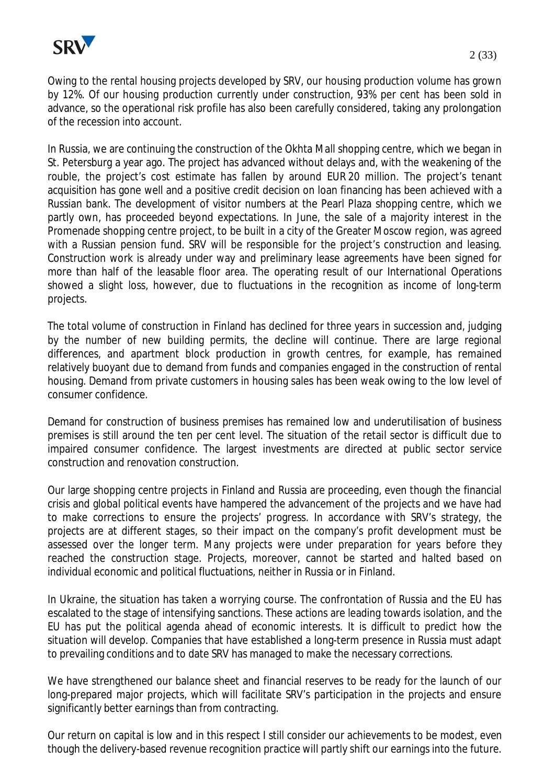

Owing to the rental housing projects developed by SRV, our housing production volume has grown by 12%. Of our housing production currently under construction, 93% per cent has been sold in advance, so the operational risk profile has also been carefully considered, taking any prolongation of the recession into account.

In Russia, we are continuing the construction of the Okhta Mall shopping centre, which we began in St. Petersburg a year ago. The project has advanced without delays and, with the weakening of the rouble, the project's cost estimate has fallen by around EUR 20 million. The project's tenant acquisition has gone well and a positive credit decision on loan financing has been achieved with a Russian bank. The development of visitor numbers at the Pearl Plaza shopping centre, which we partly own, has proceeded beyond expectations. In June, the sale of a majority interest in the Promenade shopping centre project, to be built in a city of the Greater Moscow region, was agreed with a Russian pension fund. SRV will be responsible for the project's construction and leasing. Construction work is already under way and preliminary lease agreements have been signed for more than half of the leasable floor area. The operating result of our International Operations showed a slight loss, however, due to fluctuations in the recognition as income of long-term projects.

The total volume of construction in Finland has declined for three years in succession and, judging by the number of new building permits, the decline will continue. There are large regional differences, and apartment block production in growth centres, for example, has remained relatively buoyant due to demand from funds and companies engaged in the construction of rental housing. Demand from private customers in housing sales has been weak owing to the low level of consumer confidence.

Demand for construction of business premises has remained low and underutilisation of business premises is still around the ten per cent level. The situation of the retail sector is difficult due to impaired consumer confidence. The largest investments are directed at public sector service construction and renovation construction.

Our large shopping centre projects in Finland and Russia are proceeding, even though the financial crisis and global political events have hampered the advancement of the projects and we have had to make corrections to ensure the projects' progress. In accordance with SRV's strategy, the projects are at different stages, so their impact on the company's profit development must be assessed over the longer term. Many projects were under preparation for years before they reached the construction stage. Projects, moreover, cannot be started and halted based on individual economic and political fluctuations, neither in Russia or in Finland.

In Ukraine, the situation has taken a worrying course. The confrontation of Russia and the EU has escalated to the stage of intensifying sanctions. These actions are leading towards isolation, and the EU has put the political agenda ahead of economic interests. It is difficult to predict how the situation will develop. Companies that have established a long-term presence in Russia must adapt to prevailing conditions and to date SRV has managed to make the necessary corrections.

We have strengthened our balance sheet and financial reserves to be ready for the launch of our long-prepared major projects, which will facilitate SRV's participation in the projects and ensure significantly better earnings than from contracting.

Our return on capital is low and in this respect I still consider our achievements to be modest, even though the delivery-based revenue recognition practice will partly shift our earnings into the future.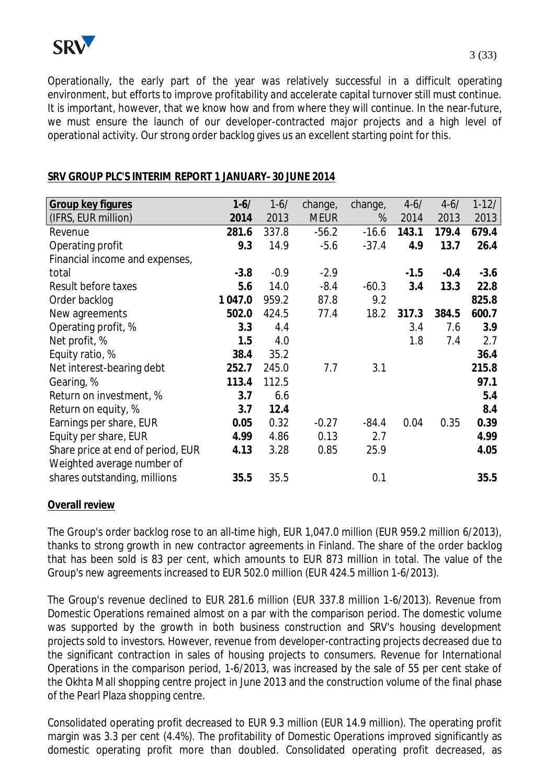

Operationally, the early part of the year was relatively successful in a difficult operating environment, but efforts to improve profitability and accelerate capital turnover still must continue. It is important, however, that we know how and from where they will continue. In the near-future, we must ensure the launch of our developer-contracted major projects and a high level of operational activity. Our strong order backlog gives us an excellent starting point for this.

| Group key figures                 | $1 - 6/$ | $1 - 6/$ | change,     | change, | $4 - 6/$ | $4 - 6/$ | $1-12/$ |
|-----------------------------------|----------|----------|-------------|---------|----------|----------|---------|
| (IFRS, EUR million)               | 2014     | 2013     | <b>MEUR</b> | %       | 2014     | 2013     | 2013    |
| Revenue                           | 281.6    | 337.8    | $-56.2$     | $-16.6$ | 143.1    | 179.4    | 679.4   |
| Operating profit                  | 9.3      | 14.9     | $-5.6$      | $-37.4$ | 4.9      | 13.7     | 26.4    |
| Financial income and expenses,    |          |          |             |         |          |          |         |
| total                             | $-3.8$   | $-0.9$   | $-2.9$      |         | $-1.5$   | $-0.4$   | $-3.6$  |
| Result before taxes               | 5.6      | 14.0     | $-8.4$      | $-60.3$ | 3.4      | 13.3     | 22.8    |
| Order backlog                     | 1 047.0  | 959.2    | 87.8        | 9.2     |          |          | 825.8   |
| New agreements                    | 502.0    | 424.5    | 77.4        | 18.2    | 317.3    | 384.5    | 600.7   |
| Operating profit, %               | 3.3      | 4.4      |             |         | 3.4      | 7.6      | 3.9     |
| Net profit, %                     | 1.5      | 4.0      |             |         | 1.8      | 7.4      | 2.7     |
| Equity ratio, %                   | 38.4     | 35.2     |             |         |          |          | 36.4    |
| Net interest-bearing debt         | 252.7    | 245.0    | 7.7         | 3.1     |          |          | 215.8   |
| Gearing, %                        | 113.4    | 112.5    |             |         |          |          | 97.1    |
| Return on investment, %           | 3.7      | 6.6      |             |         |          |          | 5.4     |
| Return on equity, %               | 3.7      | 12.4     |             |         |          |          | 8.4     |
| Earnings per share, EUR           | 0.05     | 0.32     | $-0.27$     | $-84.4$ | 0.04     | 0.35     | 0.39    |
| Equity per share, EUR             | 4.99     | 4.86     | 0.13        | 2.7     |          |          | 4.99    |
| Share price at end of period, EUR | 4.13     | 3.28     | 0.85        | 25.9    |          |          | 4.05    |
| Weighted average number of        |          |          |             |         |          |          |         |
| shares outstanding, millions      | 35.5     | 35.5     |             | 0.1     |          |          | 35.5    |
|                                   |          |          |             |         |          |          |         |

# **SRV GROUP PLC'S INTERIM REPORT 1 JANUARY–30 JUNE 2014**

#### **Overall review**

The Group's order backlog rose to an all-time high, EUR 1,047.0 million (EUR 959.2 million 6/2013), thanks to strong growth in new contractor agreements in Finland. The share of the order backlog that has been sold is 83 per cent, which amounts to EUR 873 million in total. The value of the Group's new agreements increased to EUR 502.0 million (EUR 424.5 million 1-6/2013).

The Group's revenue declined to EUR 281.6 million (EUR 337.8 million 1-6/2013). Revenue from Domestic Operations remained almost on a par with the comparison period. The domestic volume was supported by the growth in both business construction and SRV's housing development projects sold to investors. However, revenue from developer-contracting projects decreased due to the significant contraction in sales of housing projects to consumers. Revenue for International Operations in the comparison period, 1-6/2013, was increased by the sale of 55 per cent stake of the Okhta Mall shopping centre project in June 2013 and the construction volume of the final phase of the Pearl Plaza shopping centre.

Consolidated operating profit decreased to EUR 9.3 million (EUR 14.9 million). The operating profit margin was 3.3 per cent (4.4%). The profitability of Domestic Operations improved significantly as domestic operating profit more than doubled. Consolidated operating profit decreased, as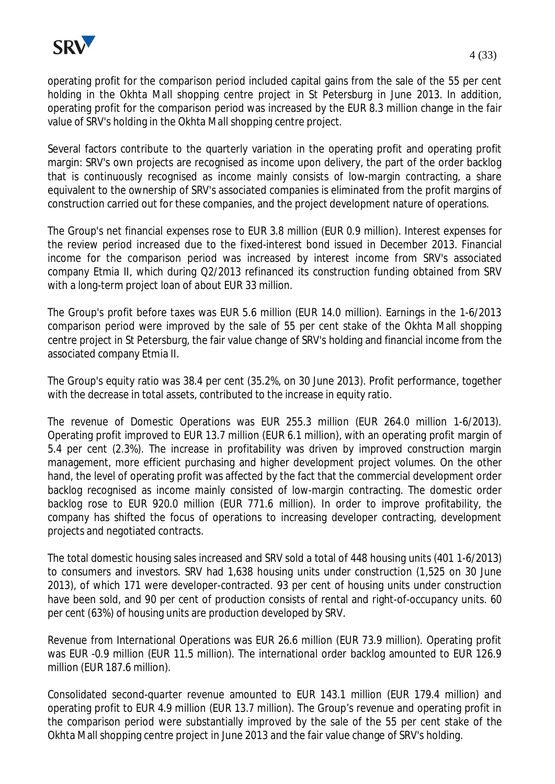

operating profit for the comparison period included capital gains from the sale of the 55 per cent holding in the Okhta Mall shopping centre project in St Petersburg in June 2013. In addition, operating profit for the comparison period was increased by the EUR 8.3 million change in the fair value of SRV's holding in the Okhta Mall shopping centre project.

Several factors contribute to the quarterly variation in the operating profit and operating profit margin: SRV's own projects are recognised as income upon delivery, the part of the order backlog that is continuously recognised as income mainly consists of low-margin contracting, a share equivalent to the ownership of SRV's associated companies is eliminated from the profit margins of construction carried out for these companies, and the project development nature of operations.

The Group's net financial expenses rose to EUR 3.8 million (EUR 0.9 million). Interest expenses for the review period increased due to the fixed-interest bond issued in December 2013. Financial income for the comparison period was increased by interest income from SRV's associated company Etmia II, which during Q2/2013 refinanced its construction funding obtained from SRV with a long-term project loan of about EUR 33 million.

The Group's profit before taxes was EUR 5.6 million (EUR 14.0 million). Earnings in the 1-6/2013 comparison period were improved by the sale of 55 per cent stake of the Okhta Mall shopping centre project in St Petersburg, the fair value change of SRV's holding and financial income from the associated company Etmia II.

The Group's equity ratio was 38.4 per cent (35.2%, on 30 June 2013). Profit performance, together with the decrease in total assets, contributed to the increase in equity ratio.

The revenue of Domestic Operations was EUR 255.3 million (EUR 264.0 million 1-6/2013). Operating profit improved to EUR 13.7 million (EUR 6.1 million), with an operating profit margin of 5.4 per cent (2.3%). The increase in profitability was driven by improved construction margin management, more efficient purchasing and higher development project volumes. On the other hand, the level of operating profit was affected by the fact that the commercial development order backlog recognised as income mainly consisted of low-margin contracting. The domestic order backlog rose to EUR 920.0 million (EUR 771.6 million). In order to improve profitability, the company has shifted the focus of operations to increasing developer contracting, development projects and negotiated contracts.

The total domestic housing sales increased and SRV sold a total of 448 housing units (401 1-6/2013) to consumers and investors. SRV had 1,638 housing units under construction (1,525 on 30 June 2013), of which 171 were developer-contracted. 93 per cent of housing units under construction have been sold, and 90 per cent of production consists of rental and right-of-occupancy units. 60 per cent (63%) of housing units are production developed by SRV.

Revenue from International Operations was EUR 26.6 million (EUR 73.9 million). Operating profit was EUR -0.9 million (EUR 11.5 million). The international order backlog amounted to EUR 126.9 million (EUR 187.6 million).

Consolidated second-quarter revenue amounted to EUR 143.1 million (EUR 179.4 million) and operating profit to EUR 4.9 million (EUR 13.7 million). The Group's revenue and operating profit in the comparison period were substantially improved by the sale of the 55 per cent stake of the Okhta Mall shopping centre project in June 2013 and the fair value change of SRV's holding.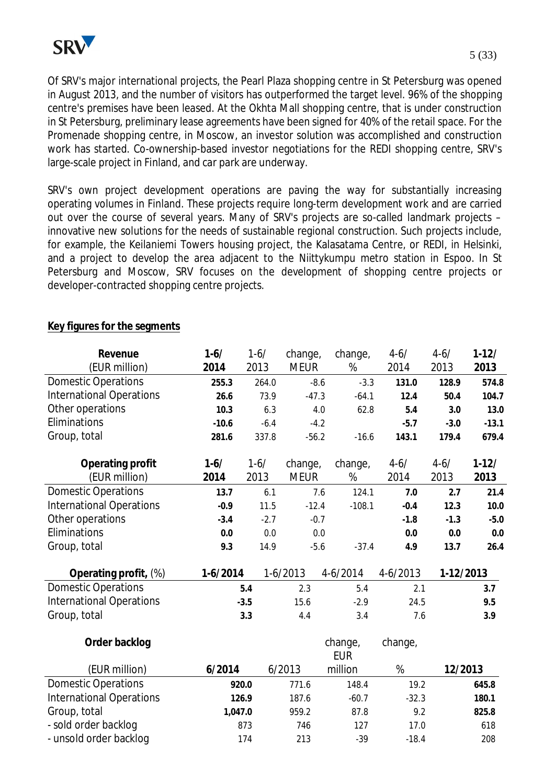Of SRV's major international projects, the Pearl Plaza shopping centre in St Petersburg was opened in August 2013, and the number of visitors has outperformed the target level. 96% of the shopping centre's premises have been leased. At the Okhta Mall shopping centre, that is under construction in St Petersburg, preliminary lease agreements have been signed for 40% of the retail space. For the Promenade shopping centre, in Moscow, an investor solution was accomplished and construction work has started. Co-ownership-based investor negotiations for the REDI shopping centre, SRV's large-scale project in Finland, and car park are underway.

SRV's own project development operations are paving the way for substantially increasing operating volumes in Finland. These projects require long-term development work and are carried out over the course of several years. Many of SRV's projects are so-called landmark projects – innovative new solutions for the needs of sustainable regional construction. Such projects include, for example, the Keilaniemi Towers housing project, the Kalasatama Centre, or REDI, in Helsinki, and a project to develop the area adjacent to the Niittykumpu metro station in Espoo. In St Petersburg and Moscow, SRV focuses on the development of shopping centre projects or developer-contracted shopping centre projects.

# **Key figures for the segments**

| Revenue                         | $1 - 6/$   | $1-6/$ | change,     | change,               | $4 - 6/$   | $4 - 6/$  | $1-12/$   |
|---------------------------------|------------|--------|-------------|-----------------------|------------|-----------|-----------|
| (EUR million)                   | 2014       | 2013   | <b>MEUR</b> | %                     | 2014       | 2013      | 2013      |
| <b>Domestic Operations</b>      | 255.3      | 264.0  | $-8.6$      | $-3.3$                | 131.0      | 128.9     | 574.8     |
| <b>International Operations</b> | 26.6       | 73.9   | $-47.3$     | $-64.1$               | 12.4       | 50.4      | 104.7     |
| Other operations                | 10.3       | 6.3    | 4.0         | 62.8                  | 5.4        | 3.0       | 13.0      |
| Eliminations                    | $-10.6$    | $-6.4$ | $-4.2$      |                       | $-5.7$     | $-3.0$    | $-13.1$   |
| Group, total                    | 281.6      | 337.8  | $-56.2$     | $-16.6$               | 143.1      | 179.4     | 679.4     |
| Operating profit                | $1-6/$     | $1-6/$ | change,     | change,               | $4 - 6/$   | $4 - 6/$  | $1 - 12/$ |
| (EUR million)                   | 2014       | 2013   | <b>MEUR</b> | %                     | 2014       | 2013      | 2013      |
| <b>Domestic Operations</b>      | 13.7       | 6.1    | 7.6         | 124.1                 | 7.0        | 2.7       | 21.4      |
| <b>International Operations</b> | $-0.9$     | 11.5   | $-12.4$     | $-108.1$              | $-0.4$     | 12.3      | 10.0      |
| Other operations                | $-3.4$     | $-2.7$ | $-0.7$      |                       | $-1.8$     | $-1.3$    | $-5.0$    |
| Eliminations                    | 0.0        | 0.0    | 0.0         |                       | 0.0        | 0.0       | 0.0       |
| Group, total                    | 9.3        | 14.9   | $-5.6$      | $-37.4$               | 4.9        | 13.7      | 26.4      |
| Operating profit, (%)           | $1-6/2014$ |        | $1-6/2013$  | $4-6/2014$            | $4-6/2013$ | 1-12/2013 |           |
| <b>Domestic Operations</b>      |            | 5.4    | 2.3         | 5.4                   | 2.1        |           | 3.7       |
| <b>International Operations</b> |            | $-3.5$ | 15.6        | $-2.9$                | 24.5       |           | 9.5       |
| Group, total                    |            | 3.3    | 4.4         | 3.4                   | 7.6        |           | 3.9       |
| Order backlog                   |            |        |             | change,<br><b>EUR</b> | change,    |           |           |
| (EUR million)                   | 6/2014     |        | 6/2013      | million               | %          | 12/2013   |           |
| <b>Domestic Operations</b>      |            | 920.0  | 771.6       | 148.4                 | 19.2       |           | 645.8     |
| <b>International Operations</b> |            | 126.9  | 187.6       | $-60.7$               | $-32.3$    |           | 180.1     |
| Group, total                    | 1,047.0    |        | 959.2       | 87.8                  | 9.2        |           | 825.8     |

- sold order backlog and the state is a state of the state is a state is a state is a state is a state is a st - unsold order backlog and the total transition of the 174 and 208 -39 -18.4 208

5 (33)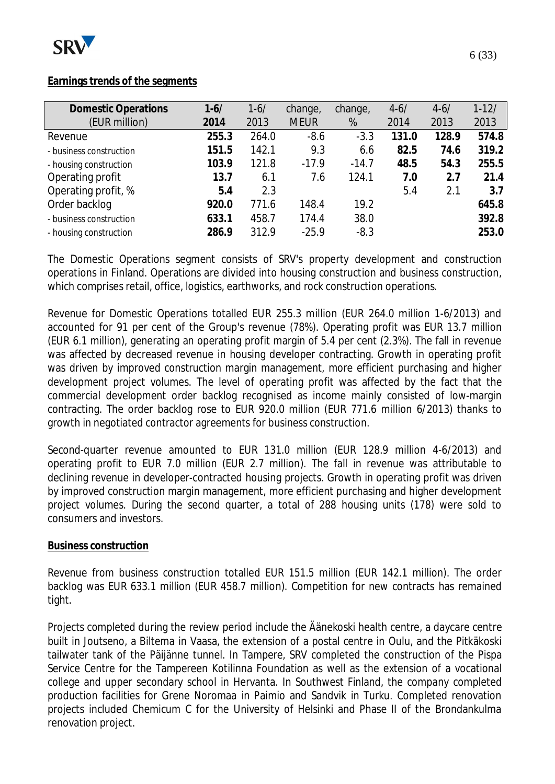

#### **Earnings trends of the segments**

| <b>Domestic Operations</b> | $1 - 6/$ | $1 - 6/$ | change,     | change, | $4 - 6/$ | $4 - 6/$ | $1 - 12/$ |
|----------------------------|----------|----------|-------------|---------|----------|----------|-----------|
| (EUR million)              | 2014     | 2013     | <b>MEUR</b> | %       | 2014     | 2013     | 2013      |
| Revenue                    | 255.3    | 264.0    | $-8.6$      | $-3.3$  | 131.0    | 128.9    | 574.8     |
| - business construction    | 151.5    | 142.1    | 9.3         | 6.6     | 82.5     | 74.6     | 319.2     |
| - housing construction     | 103.9    | 121.8    | $-17.9$     | $-14.7$ | 48.5     | 54.3     | 255.5     |
| Operating profit           | 13.7     | 6.1      | 7.6         | 124.1   | 7.0      | 2.7      | 21.4      |
| Operating profit, %        | 5.4      | 2.3      |             |         | 5.4      | 2.1      | 3.7       |
| Order backlog              | 920.0    | 771.6    | 148.4       | 19.2    |          |          | 645.8     |
| - business construction    | 633.1    | 458.7    | 174.4       | 38.0    |          |          | 392.8     |
| - housing construction     | 286.9    | 312.9    | $-25.9$     | $-8.3$  |          |          | 253.0     |
|                            |          |          |             |         |          |          |           |

The Domestic Operations segment consists of SRV's property development and construction operations in Finland. Operations are divided into housing construction and business construction, which comprises retail, office, logistics, earthworks, and rock construction operations.

Revenue for Domestic Operations totalled EUR 255.3 million (EUR 264.0 million 1-6/2013) and accounted for 91 per cent of the Group's revenue (78%). Operating profit was EUR 13.7 million (EUR 6.1 million), generating an operating profit margin of 5.4 per cent (2.3%). The fall in revenue was affected by decreased revenue in housing developer contracting. Growth in operating profit was driven by improved construction margin management, more efficient purchasing and higher development project volumes. The level of operating profit was affected by the fact that the commercial development order backlog recognised as income mainly consisted of low-margin contracting. The order backlog rose to EUR 920.0 million (EUR 771.6 million 6/2013) thanks to growth in negotiated contractor agreements for business construction.

Second-quarter revenue amounted to EUR 131.0 million (EUR 128.9 million 4-6/2013) and operating profit to EUR 7.0 million (EUR 2.7 million). The fall in revenue was attributable to declining revenue in developer-contracted housing projects. Growth in operating profit was driven by improved construction margin management, more efficient purchasing and higher development project volumes. During the second quarter, a total of 288 housing units (178) were sold to consumers and investors.

#### **Business construction**

Revenue from business construction totalled EUR 151.5 million (EUR 142.1 million). The order backlog was EUR 633.1 million (EUR 458.7 million). Competition for new contracts has remained tight.

Projects completed during the review period include the Äänekoski health centre, a daycare centre built in Joutseno, a Biltema in Vaasa, the extension of a postal centre in Oulu, and the Pitkäkoski tailwater tank of the Päijänne tunnel. In Tampere, SRV completed the construction of the Pispa Service Centre for the Tampereen Kotilinna Foundation as well as the extension of a vocational college and upper secondary school in Hervanta. In Southwest Finland, the company completed production facilities for Grene Noromaa in Paimio and Sandvik in Turku. Completed renovation projects included Chemicum C for the University of Helsinki and Phase II of the Brondankulma renovation project.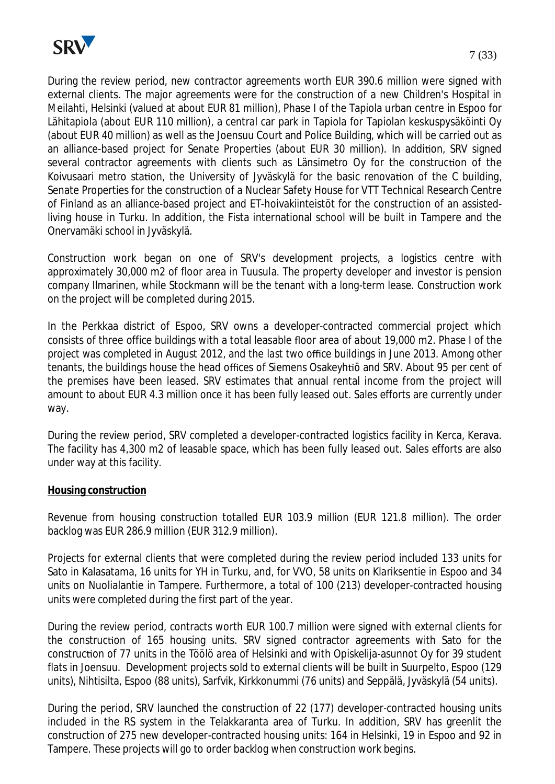

During the review period, new contractor agreements worth EUR 390.6 million were signed with external clients. The major agreements were for the construction of a new Children's Hospital in Meilahti, Helsinki (valued at about EUR 81 million), Phase I of the Tapiola urban centre in Espoo for Lähitapiola (about EUR 110 million), a central car park in Tapiola for Tapiolan keskuspysäköinti Oy (about EUR 40 million) as well as the Joensuu Court and Police Building, which will be carried out as an alliance-based project for Senate Properties (about EUR 30 million). In addition, SRV signed several contractor agreements with clients such as Länsimetro Oy for the construction of the Koivusaari metro station, the University of Jyväskylä for the basic renovation of the C building, Senate Properties for the construction of a Nuclear Safety House for VTT Technical Research Centre of Finland as an alliance-based project and ET-hoivakiinteistöt for the construction of an assistedliving house in Turku. In addition, the Fista international school will be built in Tampere and the Onervamäki school in Jyväskylä.

Construction work began on one of SRV's development projects, a logistics centre with approximately 30,000 m2 of floor area in Tuusula. The property developer and investor is pension company Ilmarinen, while Stockmann will be the tenant with a long-term lease. Construction work on the project will be completed during 2015.

In the Perkkaa district of Espoo, SRV owns a developer-contracted commercial project which consists of three office buildings with a total leasable floor area of about 19,000 m2. Phase I of the project was completed in August 2012, and the last two office buildings in June 2013. Among other tenants, the buildings house the head offices of Siemens Osakeyhtiö and SRV. About 95 per cent of the premises have been leased. SRV estimates that annual rental income from the project will amount to about EUR 4.3 million once it has been fully leased out. Sales efforts are currently under way.

During the review period, SRV completed a developer-contracted logistics facility in Kerca, Kerava. The facility has 4,300 m2 of leasable space, which has been fully leased out. Sales efforts are also under way at this facility.

#### **Housing construction**

Revenue from housing construction totalled EUR 103.9 million (EUR 121.8 million). The order backlog was EUR 286.9 million (EUR 312.9 million).

Projects for external clients that were completed during the review period included 133 units for Sato in Kalasatama, 16 units for YH in Turku, and, for VVO, 58 units on Klariksentie in Espoo and 34 units on Nuolialantie in Tampere. Furthermore, a total of 100 (213) developer-contracted housing units were completed during the first part of the year.

During the review period, contracts worth EUR 100.7 million were signed with external clients for the construction of 165 housing units. SRV signed contractor agreements with Sato for the construction of 77 units in the Töölö area of Helsinki and with Opiskelija-asunnot Oy for 39 student flats in Joensuu. Development projects sold to external clients will be built in Suurpelto, Espoo (129 units), Nihtisilta, Espoo (88 units), Sarfvik, Kirkkonummi (76 units) and Seppälä, Jyväskylä (54 units).

During the period, SRV launched the construction of 22 (177) developer-contracted housing units included in the RS system in the Telakkaranta area of Turku. In addition, SRV has greenlit the construction of 275 new developer-contracted housing units: 164 in Helsinki, 19 in Espoo and 92 in Tampere. These projects will go to order backlog when construction work begins.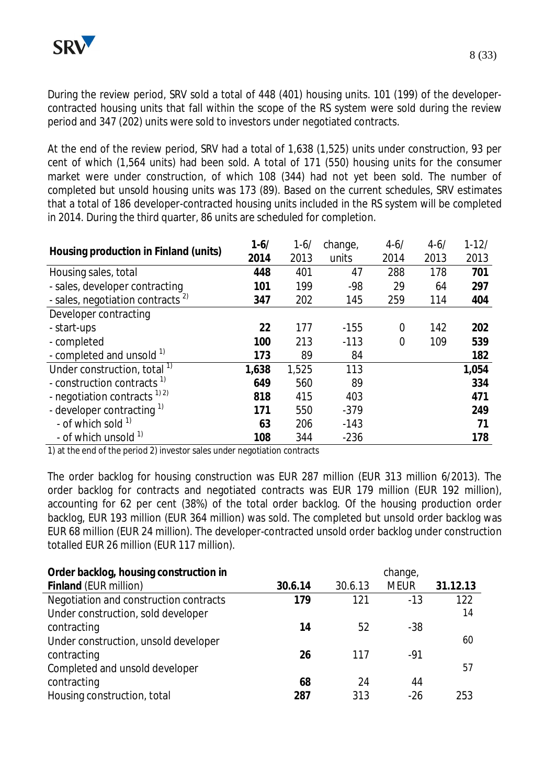During the review period, SRV sold a total of 448 (401) housing units. 101 (199) of the developercontracted housing units that fall within the scope of the RS system were sold during the review period and 347 (202) units were sold to investors under negotiated contracts.

At the end of the review period, SRV had a total of 1,638 (1,525) units under construction, 93 per cent of which (1,564 units) had been sold. A total of 171 (550) housing units for the consumer market were under construction, of which 108 (344) had not yet been sold. The number of completed but unsold housing units was 173 (89). Based on the current schedules, SRV estimates that a total of 186 developer-contracted housing units included in the RS system will be completed in 2014. During the third quarter, 86 units are scheduled for completion.

| Housing production in Finland (units)        | $1 - 6/$ | $1 - 6/$ | change, | $4 - 6/$       | $4 - 6/$ | $1 - 12/$ |
|----------------------------------------------|----------|----------|---------|----------------|----------|-----------|
|                                              | 2014     | 2013     | units   | 2014           | 2013     | 2013      |
| Housing sales, total                         | 448      | 401      | 47      | 288            | 178      | 701       |
| - sales, developer contracting               | 101      | 199      | $-98$   | 29             | 64       | 297       |
| - sales, negotiation contracts <sup>2)</sup> | 347      | 202      | 145     | 259            | 114      | 404       |
| Developer contracting                        |          |          |         |                |          |           |
| - start-ups                                  | 22       | 177      | $-155$  | $\overline{0}$ | 142      | 202       |
| - completed                                  | 100      | 213      | $-113$  | $\overline{0}$ | 109      | 539       |
| - completed and unsold 1)                    | 173      | 89       | 84      |                |          | 182       |
| Under construction, total <sup>1)</sup>      | 1,638    | 1,525    | 113     |                |          | 1,054     |
| - construction contracts <sup>1)</sup>       | 649      | 560      | 89      |                |          | 334       |
| - negotiation contracts $^{1/2}$             | 818      | 415      | 403     |                |          | 471       |
| - developer contracting 1)                   | 171      | 550      | $-379$  |                |          | 249       |
| - of which sold $1$                          | 63       | 206      | $-143$  |                |          | 71        |
| - of which unsold <sup>1)</sup>              | 108      | 344      | $-236$  |                |          | 178       |

1) at the end of the period 2) investor sales under negotiation contracts

The order backlog for housing construction was EUR 287 million (EUR 313 million 6/2013). The order backlog for contracts and negotiated contracts was EUR 179 million (EUR 192 million), accounting for 62 per cent (38%) of the total order backlog. Of the housing production order backlog, EUR 193 million (EUR 364 million) was sold. The completed but unsold order backlog was EUR 68 million (EUR 24 million). The developer-contracted unsold order backlog under construction totalled EUR 26 million (EUR 117 million).

| Order backlog, housing construction in |         |         | change,     |          |
|----------------------------------------|---------|---------|-------------|----------|
| Finland (EUR million)                  | 30.6.14 | 30.6.13 | <b>MEUR</b> | 31.12.13 |
| Negotiation and construction contracts | 179     | 121     | $-13$       | 122      |
| Under construction, sold developer     |         |         |             | 14       |
| contracting                            | 14      | 52      | $-38$       |          |
| Under construction, unsold developer   |         |         |             | 60       |
| contracting                            | 26      | 117     | -91         |          |
| Completed and unsold developer         |         |         |             | 57       |
| contracting                            | 68      | 24      | 44          |          |
| Housing construction, total            | 287     | 313     | $-26$       | 253      |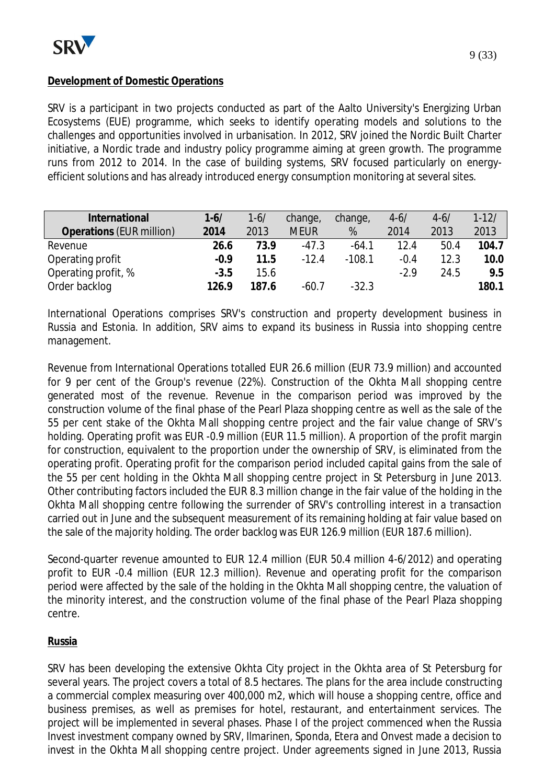# **Development of Domestic Operations**

SRV is a participant in two projects conducted as part of the Aalto University's Energizing Urban Ecosystems (EUE) programme, which seeks to identify operating models and solutions to the challenges and opportunities involved in urbanisation. In 2012, SRV joined the Nordic Built Charter initiative, a Nordic trade and industry policy programme aiming at green growth. The programme runs from 2012 to 2014. In the case of building systems, SRV focused particularly on energyefficient solutions and has already introduced energy consumption monitoring at several sites.

| International            | $1 - 6/$ | $1 - 6/$ | change,     | change,  | $4 - 6/$ | $4 - 6/$ | $1 - 12/$ |
|--------------------------|----------|----------|-------------|----------|----------|----------|-----------|
| Operations (EUR million) | 2014     | 2013     | <b>MEUR</b> | %        | 2014     | 2013     | 2013      |
| Revenue                  | 26.6     | 73.9     | $-47.3$     | $-64.1$  | 12.4     | 50.4     | 104.7     |
| Operating profit         | $-0.9$   | 11.5     | $-12.4$     | $-108.1$ | $-0.4$   | 12.3     | 10.0      |
| Operating profit, %      | $-3.5$   | 15.6     |             |          | $-2.9$   | 24.5     | 9.5       |
| Order backlog            | 126.9    | 187.6    | $-60.7$     | $-32.3$  |          |          | 180.1     |

International Operations comprises SRV's construction and property development business in Russia and Estonia. In addition, SRV aims to expand its business in Russia into shopping centre management.

Revenue from International Operations totalled EUR 26.6 million (EUR 73.9 million) and accounted for 9 per cent of the Group's revenue (22%). Construction of the Okhta Mall shopping centre generated most of the revenue. Revenue in the comparison period was improved by the construction volume of the final phase of the Pearl Plaza shopping centre as well as the sale of the 55 per cent stake of the Okhta Mall shopping centre project and the fair value change of SRV's holding. Operating profit was EUR -0.9 million (EUR 11.5 million). A proportion of the profit margin for construction, equivalent to the proportion under the ownership of SRV, is eliminated from the operating profit. Operating profit for the comparison period included capital gains from the sale of the 55 per cent holding in the Okhta Mall shopping centre project in St Petersburg in June 2013. Other contributing factors included the EUR 8.3 million change in the fair value of the holding in the Okhta Mall shopping centre following the surrender of SRV's controlling interest in a transaction carried out in June and the subsequent measurement of its remaining holding at fair value based on the sale of the majority holding. The order backlog was EUR 126.9 million (EUR 187.6 million).

Second-quarter revenue amounted to EUR 12.4 million (EUR 50.4 million 4-6/2012) and operating profit to EUR -0.4 million (EUR 12.3 million). Revenue and operating profit for the comparison period were affected by the sale of the holding in the Okhta Mall shopping centre, the valuation of the minority interest, and the construction volume of the final phase of the Pearl Plaza shopping centre.

#### **Russia**

SRV has been developing the extensive Okhta City project in the Okhta area of St Petersburg for several years. The project covers a total of 8.5 hectares. The plans for the area include constructing a commercial complex measuring over 400,000 m2, which will house a shopping centre, office and business premises, as well as premises for hotel, restaurant, and entertainment services. The project will be implemented in several phases. Phase I of the project commenced when the Russia Invest investment company owned by SRV, Ilmarinen, Sponda, Etera and Onvest made a decision to invest in the Okhta Mall shopping centre project. Under agreements signed in June 2013, Russia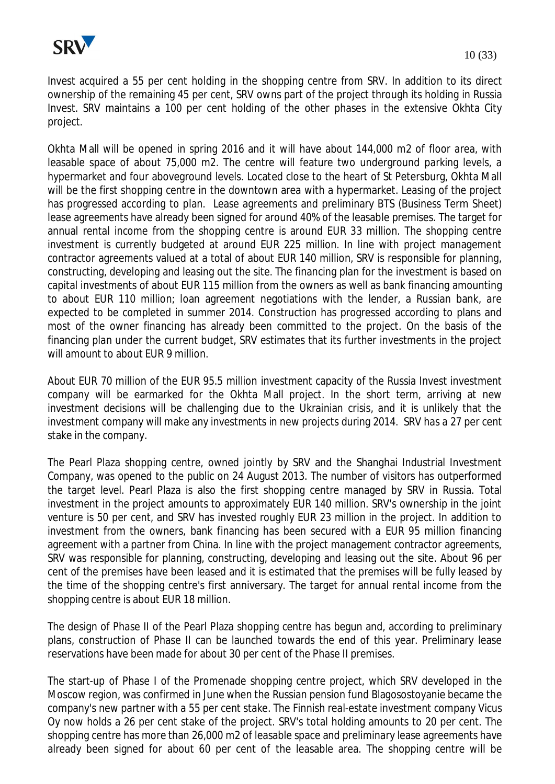

Invest acquired a 55 per cent holding in the shopping centre from SRV. In addition to its direct ownership of the remaining 45 per cent, SRV owns part of the project through its holding in Russia Invest. SRV maintains a 100 per cent holding of the other phases in the extensive Okhta City project.

Okhta Mall will be opened in spring 2016 and it will have about 144,000 m2 of floor area, with leasable space of about 75,000 m2. The centre will feature two underground parking levels, a hypermarket and four aboveground levels. Located close to the heart of St Petersburg, Okhta Mall will be the first shopping centre in the downtown area with a hypermarket. Leasing of the project has progressed according to plan. Lease agreements and preliminary BTS (Business Term Sheet) lease agreements have already been signed for around 40% of the leasable premises. The target for annual rental income from the shopping centre is around EUR 33 million. The shopping centre investment is currently budgeted at around EUR 225 million. In line with project management contractor agreements valued at a total of about EUR 140 million, SRV is responsible for planning, constructing, developing and leasing out the site. The financing plan for the investment is based on capital investments of about EUR 115 million from the owners as well as bank financing amounting to about EUR 110 million; loan agreement negotiations with the lender, a Russian bank, are expected to be completed in summer 2014. Construction has progressed according to plans and most of the owner financing has already been committed to the project. On the basis of the financing plan under the current budget, SRV estimates that its further investments in the project will amount to about FUR 9 million.

About EUR 70 million of the EUR 95.5 million investment capacity of the Russia Invest investment company will be earmarked for the Okhta Mall project. In the short term, arriving at new investment decisions will be challenging due to the Ukrainian crisis, and it is unlikely that the investment company will make any investments in new projects during 2014. SRV has a 27 per cent stake in the company.

The Pearl Plaza shopping centre, owned jointly by SRV and the Shanghai Industrial Investment Company, was opened to the public on 24 August 2013. The number of visitors has outperformed the target level. Pearl Plaza is also the first shopping centre managed by SRV in Russia. Total investment in the project amounts to approximately EUR 140 million. SRV's ownership in the joint venture is 50 per cent, and SRV has invested roughly EUR 23 million in the project. In addition to investment from the owners, bank financing has been secured with a EUR 95 million financing agreement with a partner from China. In line with the project management contractor agreements, SRV was responsible for planning, constructing, developing and leasing out the site. About 96 per cent of the premises have been leased and it is estimated that the premises will be fully leased by the time of the shopping centre's first anniversary. The target for annual rental income from the shopping centre is about EUR 18 million.

The design of Phase II of the Pearl Plaza shopping centre has begun and, according to preliminary plans, construction of Phase II can be launched towards the end of this year. Preliminary lease reservations have been made for about 30 per cent of the Phase II premises.

The start-up of Phase I of the Promenade shopping centre project, which SRV developed in the Moscow region, was confirmed in June when the Russian pension fund Blagosostoyanie became the company's new partner with a 55 per cent stake. The Finnish real-estate investment company Vicus Oy now holds a 26 per cent stake of the project. SRV's total holding amounts to 20 per cent. The shopping centre has more than 26,000 m2 of leasable space and preliminary lease agreements have already been signed for about 60 per cent of the leasable area. The shopping centre will be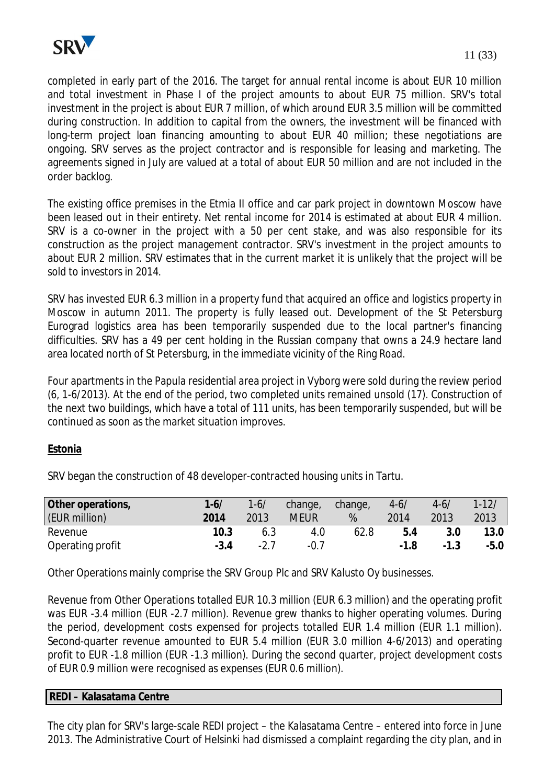

completed in early part of the 2016. The target for annual rental income is about EUR 10 million and total investment in Phase I of the project amounts to about EUR 75 million. SRV's total investment in the project is about EUR 7 million, of which around EUR 3.5 million will be committed during construction. In addition to capital from the owners, the investment will be financed with long-term project loan financing amounting to about EUR 40 million; these negotiations are ongoing. SRV serves as the project contractor and is responsible for leasing and marketing. The agreements signed in July are valued at a total of about EUR 50 million and are not included in the order backlog.

The existing office premises in the Etmia II office and car park project in downtown Moscow have been leased out in their entirety. Net rental income for 2014 is estimated at about EUR 4 million. SRV is a co-owner in the project with a 50 per cent stake, and was also responsible for its construction as the project management contractor. SRV's investment in the project amounts to about EUR 2 million. SRV estimates that in the current market it is unlikely that the project will be sold to investors in 2014.

SRV has invested EUR 6.3 million in a property fund that acquired an office and logistics property in Moscow in autumn 2011. The property is fully leased out. Development of the St Petersburg Eurograd logistics area has been temporarily suspended due to the local partner's financing difficulties. SRV has a 49 per cent holding in the Russian company that owns a 24.9 hectare land area located north of St Petersburg, in the immediate vicinity of the Ring Road.

Four apartments in the Papula residential area project in Vyborg were sold during the review period (6, 1-6/2013). At the end of the period, two completed units remained unsold (17). Construction of the next two buildings, which have a total of 111 units, has been temporarily suspended, but will be continued as soon as the market situation improves.

# **Estonia**

SRV began the construction of 48 developer-contracted housing units in Tartu.

| Other operations,<br>(EUR million) | $1 - 6/$<br>2014 | $1 - 6/$<br>2013 | change,<br><b>MEUR</b> | change,<br>% | $4 - 6/$<br>2014 | $4 - 6/$<br>2013 | $1 - 12/$<br>2013 |
|------------------------------------|------------------|------------------|------------------------|--------------|------------------|------------------|-------------------|
| Revenue                            | 10.3             | 6.3              | 4.0                    | 62.8         | 5.4              | 3.0              | 13.0              |
| Operating profit                   | $-3.4$           | $-2.7$           | $-0.1$                 |              | $-1.8$           | $-1.3$           | $-5.0$            |

Other Operations mainly comprise the SRV Group Plc and SRV Kalusto Oy businesses.

Revenue from Other Operations totalled EUR 10.3 million (EUR 6.3 million) and the operating profit was EUR -3.4 million (EUR -2.7 million). Revenue grew thanks to higher operating volumes. During the period, development costs expensed for projects totalled EUR 1.4 million (EUR 1.1 million). Second-quarter revenue amounted to EUR 5.4 million (EUR 3.0 million 4-6/2013) and operating profit to EUR -1.8 million (EUR -1.3 million). During the second quarter, project development costs of EUR 0.9 million were recognised as expenses (EUR 0.6 million).

| REDI - Kalasatama Centre |  |
|--------------------------|--|
|                          |  |

The city plan for SRV's large-scale REDI project – the Kalasatama Centre – entered into force in June 2013. The Administrative Court of Helsinki had dismissed a complaint regarding the city plan, and in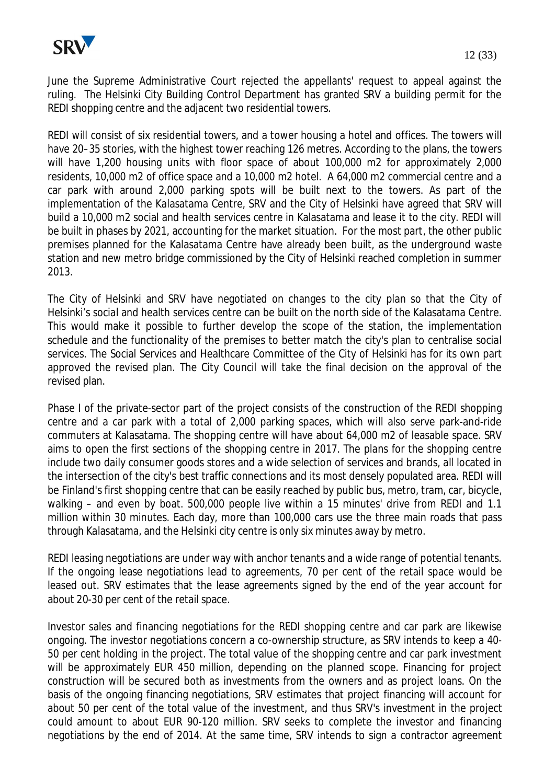

June the Supreme Administrative Court rejected the appellants' request to appeal against the ruling. The Helsinki City Building Control Department has granted SRV a building permit for the REDI shopping centre and the adjacent two residential towers.

REDI will consist of six residential towers, and a tower housing a hotel and offices. The towers will have 20–35 stories, with the highest tower reaching 126 metres. According to the plans, the towers will have 1,200 housing units with floor space of about 100,000 m2 for approximately 2,000 residents, 10,000 m2 of office space and a 10,000 m2 hotel. A 64,000 m2 commercial centre and a car park with around 2,000 parking spots will be built next to the towers. As part of the implementation of the Kalasatama Centre, SRV and the City of Helsinki have agreed that SRV will build a 10,000 m2 social and health services centre in Kalasatama and lease it to the city. REDI will be built in phases by 2021, accounting for the market situation. For the most part, the other public premises planned for the Kalasatama Centre have already been built, as the underground waste station and new metro bridge commissioned by the City of Helsinki reached completion in summer 2013.

The City of Helsinki and SRV have negotiated on changes to the city plan so that the City of Helsinki's social and health services centre can be built on the north side of the Kalasatama Centre. This would make it possible to further develop the scope of the station, the implementation schedule and the functionality of the premises to better match the city's plan to centralise social services. The Social Services and Healthcare Committee of the City of Helsinki has for its own part approved the revised plan. The City Council will take the final decision on the approval of the revised plan.

Phase I of the private-sector part of the project consists of the construction of the REDI shopping centre and a car park with a total of 2,000 parking spaces, which will also serve park-and-ride commuters at Kalasatama. The shopping centre will have about 64,000 m2 of leasable space. SRV aims to open the first sections of the shopping centre in 2017. The plans for the shopping centre include two daily consumer goods stores and a wide selection of services and brands, all located in the intersection of the city's best traffic connections and its most densely populated area. REDI will be Finland's first shopping centre that can be easily reached by public bus, metro, tram, car, bicycle, walking – and even by boat. 500,000 people live within a 15 minutes' drive from REDI and 1.1 million within 30 minutes. Each day, more than 100,000 cars use the three main roads that pass through Kalasatama, and the Helsinki city centre is only six minutes away by metro.

REDI leasing negotiations are under way with anchor tenants and a wide range of potential tenants. If the ongoing lease negotiations lead to agreements, 70 per cent of the retail space would be leased out. SRV estimates that the lease agreements signed by the end of the year account for about 20-30 per cent of the retail space.

Investor sales and financing negotiations for the REDI shopping centre and car park are likewise ongoing. The investor negotiations concern a co-ownership structure, as SRV intends to keep a 40- 50 per cent holding in the project. The total value of the shopping centre and car park investment will be approximately EUR 450 million, depending on the planned scope. Financing for project construction will be secured both as investments from the owners and as project loans. On the basis of the ongoing financing negotiations, SRV estimates that project financing will account for about 50 per cent of the total value of the investment, and thus SRV's investment in the project could amount to about EUR 90-120 million. SRV seeks to complete the investor and financing negotiations by the end of 2014. At the same time, SRV intends to sign a contractor agreement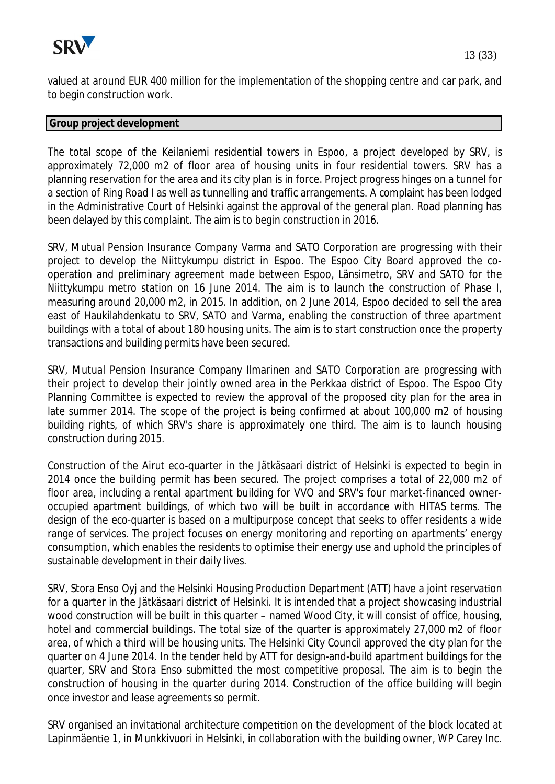

valued at around EUR 400 million for the implementation of the shopping centre and car park, and to begin construction work.

#### **Group project development**

The total scope of the Keilaniemi residential towers in Espoo, a project developed by SRV, is approximately 72,000 m2 of floor area of housing units in four residential towers. SRV has a planning reservation for the area and its city plan is in force. Project progress hinges on a tunnel for a section of Ring Road I as well as tunnelling and traffic arrangements. A complaint has been lodged in the Administrative Court of Helsinki against the approval of the general plan. Road planning has been delayed by this complaint. The aim is to begin construction in 2016.

SRV, Mutual Pension Insurance Company Varma and SATO Corporation are progressing with their project to develop the Niittykumpu district in Espoo. The Espoo City Board approved the cooperation and preliminary agreement made between Espoo, Länsimetro, SRV and SATO for the Niittykumpu metro station on 16 June 2014. The aim is to launch the construction of Phase I, measuring around 20,000 m2, in 2015. In addition, on 2 June 2014, Espoo decided to sell the area east of Haukilahdenkatu to SRV, SATO and Varma, enabling the construction of three apartment buildings with a total of about 180 housing units. The aim is to start construction once the property transactions and building permits have been secured.

SRV, Mutual Pension Insurance Company Ilmarinen and SATO Corporation are progressing with their project to develop their jointly owned area in the Perkkaa district of Espoo. The Espoo City Planning Committee is expected to review the approval of the proposed city plan for the area in late summer 2014. The scope of the project is being confirmed at about 100,000 m2 of housing building rights, of which SRV's share is approximately one third. The aim is to launch housing construction during 2015.

Construction of the Airut eco-quarter in the Jätkäsaari district of Helsinki is expected to begin in 2014 once the building permit has been secured. The project comprises a total of 22,000 m2 of floor area, including a rental apartment building for VVO and SRV's four market-financed owneroccupied apartment buildings, of which two will be built in accordance with HITAS terms. The design of the eco-quarter is based on a multipurpose concept that seeks to offer residents a wide range of services. The project focuses on energy monitoring and reporting on apartments' energy consumption, which enables the residents to optimise their energy use and uphold the principles of sustainable development in their daily lives.

SRV, Stora Enso Oyj and the Helsinki Housing Production Department (ATT) have a joint reservation for a quarter in the Jätkäsaari district of Helsinki. It is intended that a project showcasing industrial wood construction will be built in this quarter – named Wood City, it will consist of office, housing, hotel and commercial buildings. The total size of the quarter is approximately 27,000 m2 of floor area, of which a third will be housing units. The Helsinki City Council approved the city plan for the quarter on 4 June 2014. In the tender held by ATT for design-and-build apartment buildings for the quarter, SRV and Stora Enso submitted the most competitive proposal. The aim is to begin the construction of housing in the quarter during 2014. Construction of the office building will begin once investor and lease agreements so permit.

SRV organised an invitational architecture competition on the development of the block located at Lapinmäentie 1, in Munkkivuori in Helsinki, in collaboration with the building owner, WP Carey Inc.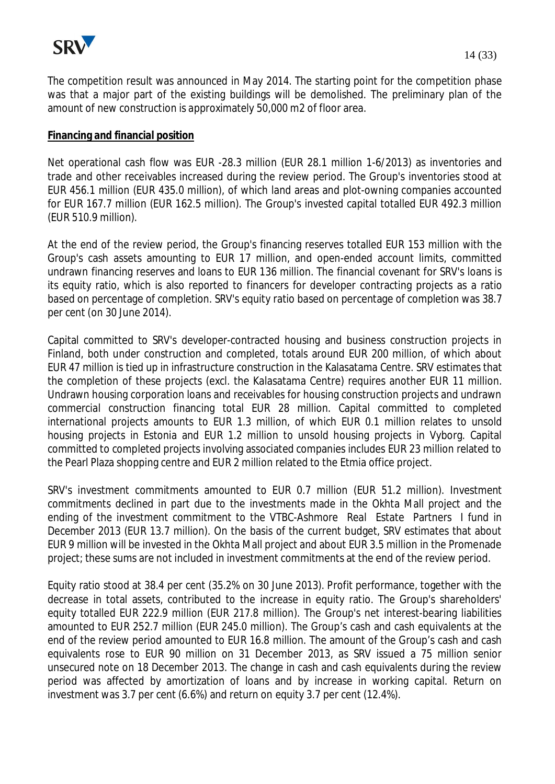

The competition result was announced in May 2014. The starting point for the competition phase was that a major part of the existing buildings will be demolished. The preliminary plan of the amount of new construction is approximately 50,000 m2 of floor area.

#### **Financing and financial position**

Net operational cash flow was EUR -28.3 million (EUR 28.1 million 1-6/2013) as inventories and trade and other receivables increased during the review period. The Group's inventories stood at EUR 456.1 million (EUR 435.0 million), of which land areas and plot-owning companies accounted for EUR 167.7 million (EUR 162.5 million). The Group's invested capital totalled EUR 492.3 million (EUR 510.9 million).

At the end of the review period, the Group's financing reserves totalled EUR 153 million with the Group's cash assets amounting to EUR 17 million, and open-ended account limits, committed undrawn financing reserves and loans to EUR 136 million. The financial covenant for SRV's loans is its equity ratio, which is also reported to financers for developer contracting projects as a ratio based on percentage of completion. SRV's equity ratio based on percentage of completion was 38.7 per cent (on 30 June 2014).

Capital committed to SRV's developer-contracted housing and business construction projects in Finland, both under construction and completed, totals around EUR 200 million, of which about EUR 47 million is tied up in infrastructure construction in the Kalasatama Centre. SRV estimates that the completion of these projects (excl. the Kalasatama Centre) requires another EUR 11 million. Undrawn housing corporation loans and receivables for housing construction projects and undrawn commercial construction financing total EUR 28 million. Capital committed to completed international projects amounts to EUR 1.3 million, of which EUR 0.1 million relates to unsold housing projects in Estonia and EUR 1.2 million to unsold housing projects in Vyborg. Capital committed to completed projects involving associated companies includes EUR 23 million related to the Pearl Plaza shopping centre and EUR 2 million related to the Etmia office project.

SRV's investment commitments amounted to EUR 0.7 million (EUR 51.2 million). Investment commitments declined in part due to the investments made in the Okhta Mall project and the ending of the investment commitment to the VTBC-Ashmore Real Estate Partners I fund in December 2013 (EUR 13.7 million). On the basis of the current budget, SRV estimates that about EUR 9 million will be invested in the Okhta Mall project and about EUR 3.5 million in the Promenade project; these sums are not included in investment commitments at the end of the review period.

Equity ratio stood at 38.4 per cent (35.2% on 30 June 2013). Profit performance, together with the decrease in total assets, contributed to the increase in equity ratio. The Group's shareholders' equity totalled EUR 222.9 million (EUR 217.8 million). The Group's net interest-bearing liabilities amounted to EUR 252.7 million (EUR 245.0 million). The Group's cash and cash equivalents at the end of the review period amounted to EUR 16.8 million. The amount of the Group's cash and cash equivalents rose to EUR 90 million on 31 December 2013, as SRV issued a 75 million senior unsecured note on 18 December 2013. The change in cash and cash equivalents during the review period was affected by amortization of loans and by increase in working capital. Return on investment was 3.7 per cent (6.6%) and return on equity 3.7 per cent (12.4%).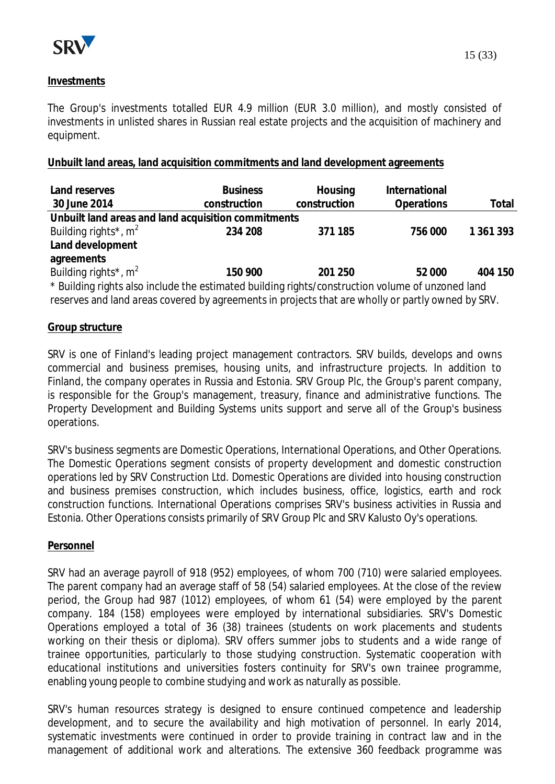

### **Investments**

The Group's investments totalled EUR 4.9 million (EUR 3.0 million), and mostly consisted of investments in unlisted shares in Russian real estate projects and the acquisition of machinery and equipment.

### **Unbuilt land areas, land acquisition commitments and land development agreements**

| Land reserves<br>30 June 2014                                                                     | <b>Business</b><br>construction | Housing<br>construction | International<br>Operations | Total     |
|---------------------------------------------------------------------------------------------------|---------------------------------|-------------------------|-----------------------------|-----------|
| Unbuilt land areas and land acquisition commitments                                               |                                 |                         |                             |           |
| Building rights <sup>*</sup> , $m^2$                                                              | 234 208                         | 371 185                 | 756 000                     | 1 361 393 |
| Land development                                                                                  |                                 |                         |                             |           |
| agreements                                                                                        |                                 |                         |                             |           |
| Building rights <sup>*</sup> , $m^2$                                                              | 150 900                         | 201 250                 | 52 000                      | 404 150   |
| * Building rights also include the estimated building rights/construction volume of unzoned land  |                                 |                         |                             |           |
| reserves and land areas covered by agreements in projects that are wholly or partly owned by SRV. |                                 |                         |                             |           |

#### **Group structure**

SRV is one of Finland's leading project management contractors. SRV builds, develops and owns commercial and business premises, housing units, and infrastructure projects. In addition to Finland, the company operates in Russia and Estonia. SRV Group Plc, the Group's parent company, is responsible for the Group's management, treasury, finance and administrative functions. The Property Development and Building Systems units support and serve all of the Group's business operations.

SRV's business segments are Domestic Operations, International Operations, and Other Operations. The Domestic Operations segment consists of property development and domestic construction operations led by SRV Construction Ltd. Domestic Operations are divided into housing construction and business premises construction, which includes business, office, logistics, earth and rock construction functions. International Operations comprises SRV's business activities in Russia and Estonia. Other Operations consists primarily of SRV Group Plc and SRV Kalusto Oy's operations.

#### **Personnel**

SRV had an average payroll of 918 (952) employees, of whom 700 (710) were salaried employees. The parent company had an average staff of 58 (54) salaried employees. At the close of the review period, the Group had 987 (1012) employees, of whom 61 (54) were employed by the parent company. 184 (158) employees were employed by international subsidiaries. SRV's Domestic Operations employed a total of 36 (38) trainees (students on work placements and students working on their thesis or diploma). SRV offers summer jobs to students and a wide range of trainee opportunities, particularly to those studying construction. Systematic cooperation with educational institutions and universities fosters continuity for SRV's own trainee programme, enabling young people to combine studying and work as naturally as possible.

SRV's human resources strategy is designed to ensure continued competence and leadership development, and to secure the availability and high motivation of personnel. In early 2014, systematic investments were continued in order to provide training in contract law and in the management of additional work and alterations. The extensive 360 feedback programme was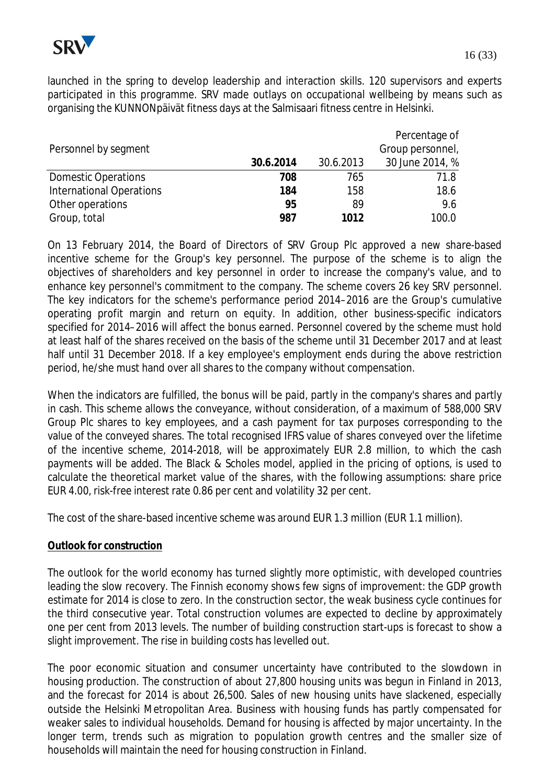

launched in the spring to develop leadership and interaction skills. 120 supervisors and experts participated in this programme. SRV made outlays on occupational wellbeing by means such as organising the KUNNONpäivät fitness days at the Salmisaari fitness centre in Helsinki.

|                            |           |           | Percentage of    |
|----------------------------|-----------|-----------|------------------|
| Personnel by segment       |           |           | Group personnel, |
|                            | 30.6.2014 | 30.6.2013 | 30 June 2014, %  |
| <b>Domestic Operations</b> | 708       | 765       | 71.8             |
| International Operations   | 184       | 158       | 18.6             |
| Other operations           | 95        | 89        | 9.6              |
| Group, total               | 987       | 1012      | 100.0            |

On 13 February 2014, the Board of Directors of SRV Group Plc approved a new share-based incentive scheme for the Group's key personnel. The purpose of the scheme is to align the objectives of shareholders and key personnel in order to increase the company's value, and to enhance key personnel's commitment to the company. The scheme covers 26 key SRV personnel. The key indicators for the scheme's performance period 2014–2016 are the Group's cumulative operating profit margin and return on equity. In addition, other business-specific indicators specified for 2014–2016 will affect the bonus earned. Personnel covered by the scheme must hold at least half of the shares received on the basis of the scheme until 31 December 2017 and at least half until 31 December 2018. If a key employee's employment ends during the above restriction period, he/she must hand over all shares to the company without compensation.

When the indicators are fulfilled, the bonus will be paid, partly in the company's shares and partly in cash. This scheme allows the conveyance, without consideration, of a maximum of 588,000 SRV Group Plc shares to key employees, and a cash payment for tax purposes corresponding to the value of the conveyed shares. The total recognised IFRS value of shares conveyed over the lifetime of the incentive scheme, 2014-2018, will be approximately EUR 2.8 million, to which the cash payments will be added. The Black & Scholes model, applied in the pricing of options, is used to calculate the theoretical market value of the shares, with the following assumptions: share price EUR 4.00, risk-free interest rate 0.86 per cent and volatility 32 per cent.

The cost of the share-based incentive scheme was around EUR 1.3 million (EUR 1.1 million).

#### **Outlook for construction**

The outlook for the world economy has turned slightly more optimistic, with developed countries leading the slow recovery. The Finnish economy shows few signs of improvement: the GDP growth estimate for 2014 is close to zero. In the construction sector, the weak business cycle continues for the third consecutive year. Total construction volumes are expected to decline by approximately one per cent from 2013 levels. The number of building construction start-ups is forecast to show a slight improvement. The rise in building costs has levelled out.

The poor economic situation and consumer uncertainty have contributed to the slowdown in housing production. The construction of about 27,800 housing units was begun in Finland in 2013, and the forecast for 2014 is about 26,500. Sales of new housing units have slackened, especially outside the Helsinki Metropolitan Area. Business with housing funds has partly compensated for weaker sales to individual households. Demand for housing is affected by major uncertainty. In the longer term, trends such as migration to population growth centres and the smaller size of households will maintain the need for housing construction in Finland.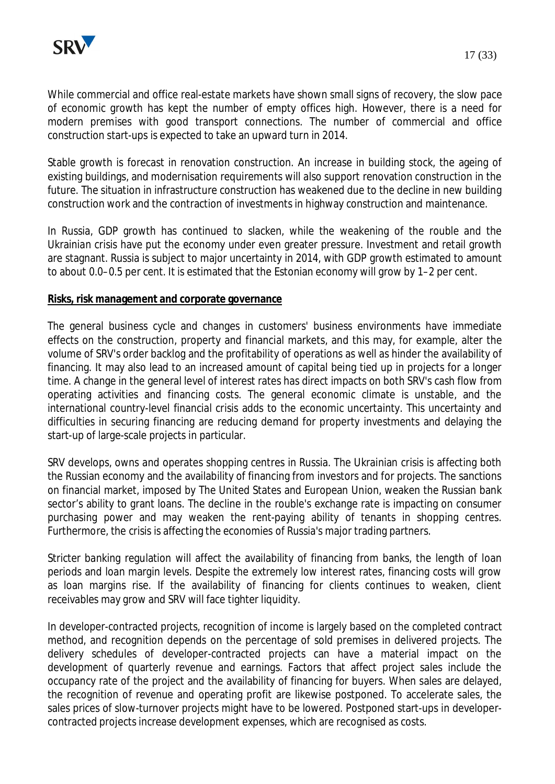

While commercial and office real-estate markets have shown small signs of recovery, the slow pace of economic growth has kept the number of empty offices high. However, there is a need for modern premises with good transport connections. The number of commercial and office construction start-ups is expected to take an upward turn in 2014.

Stable growth is forecast in renovation construction. An increase in building stock, the ageing of existing buildings, and modernisation requirements will also support renovation construction in the future. The situation in infrastructure construction has weakened due to the decline in new building construction work and the contraction of investments in highway construction and maintenance.

In Russia, GDP growth has continued to slacken, while the weakening of the rouble and the Ukrainian crisis have put the economy under even greater pressure. Investment and retail growth are stagnant. Russia is subject to major uncertainty in 2014, with GDP growth estimated to amount to about 0.0–0.5 per cent. It is estimated that the Estonian economy will grow by 1–2 per cent.

#### **Risks, risk management and corporate governance**

The general business cycle and changes in customers' business environments have immediate effects on the construction, property and financial markets, and this may, for example, alter the volume of SRV's order backlog and the profitability of operations as well as hinder the availability of financing. It may also lead to an increased amount of capital being tied up in projects for a longer time. A change in the general level of interest rates has direct impacts on both SRV's cash flow from operating activities and financing costs. The general economic climate is unstable, and the international country-level financial crisis adds to the economic uncertainty. This uncertainty and difficulties in securing financing are reducing demand for property investments and delaying the start-up of large-scale projects in particular.

SRV develops, owns and operates shopping centres in Russia. The Ukrainian crisis is affecting both the Russian economy and the availability of financing from investors and for projects. The sanctions on financial market, imposed by The United States and European Union, weaken the Russian bank sector's ability to grant loans. The decline in the rouble's exchange rate is impacting on consumer purchasing power and may weaken the rent-paying ability of tenants in shopping centres. Furthermore, the crisis is affecting the economies of Russia's major trading partners.

Stricter banking regulation will affect the availability of financing from banks, the length of loan periods and loan margin levels. Despite the extremely low interest rates, financing costs will grow as loan margins rise. If the availability of financing for clients continues to weaken, client receivables may grow and SRV will face tighter liquidity.

In developer-contracted projects, recognition of income is largely based on the completed contract method, and recognition depends on the percentage of sold premises in delivered projects. The delivery schedules of developer-contracted projects can have a material impact on the development of quarterly revenue and earnings. Factors that affect project sales include the occupancy rate of the project and the availability of financing for buyers. When sales are delayed, the recognition of revenue and operating profit are likewise postponed. To accelerate sales, the sales prices of slow-turnover projects might have to be lowered. Postponed start-ups in developercontracted projects increase development expenses, which are recognised as costs.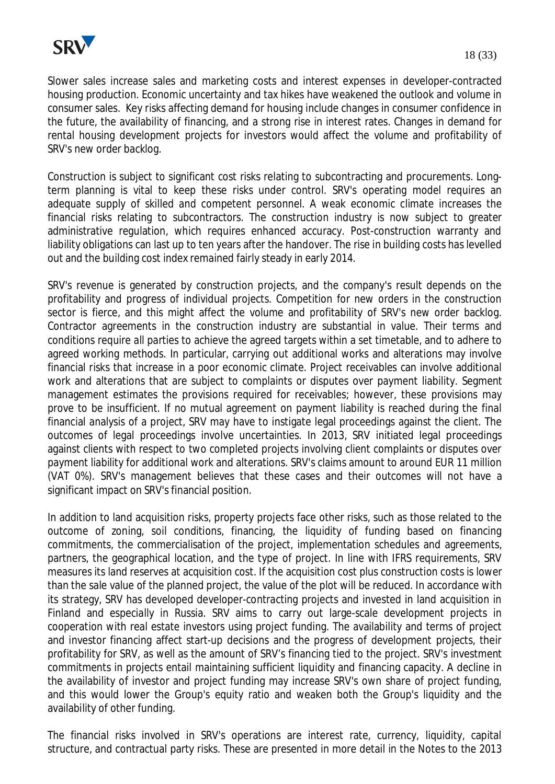

Slower sales increase sales and marketing costs and interest expenses in developer-contracted housing production. Economic uncertainty and tax hikes have weakened the outlook and volume in consumer sales. Key risks affecting demand for housing include changes in consumer confidence in the future, the availability of financing, and a strong rise in interest rates. Changes in demand for rental housing development projects for investors would affect the volume and profitability of SRV's new order backlog.

Construction is subject to significant cost risks relating to subcontracting and procurements. Longterm planning is vital to keep these risks under control. SRV's operating model requires an adequate supply of skilled and competent personnel. A weak economic climate increases the financial risks relating to subcontractors. The construction industry is now subject to greater administrative regulation, which requires enhanced accuracy. Post-construction warranty and liability obligations can last up to ten years after the handover. The rise in building costs has levelled out and the building cost index remained fairly steady in early 2014.

SRV's revenue is generated by construction projects, and the company's result depends on the profitability and progress of individual projects. Competition for new orders in the construction sector is fierce, and this might affect the volume and profitability of SRV's new order backlog. Contractor agreements in the construction industry are substantial in value. Their terms and conditions require all parties to achieve the agreed targets within a set timetable, and to adhere to agreed working methods. In particular, carrying out additional works and alterations may involve financial risks that increase in a poor economic climate. Project receivables can involve additional work and alterations that are subject to complaints or disputes over payment liability. Segment management estimates the provisions required for receivables; however, these provisions may prove to be insufficient. If no mutual agreement on payment liability is reached during the final financial analysis of a project, SRV may have to instigate legal proceedings against the client. The outcomes of legal proceedings involve uncertainties. In 2013, SRV initiated legal proceedings against clients with respect to two completed projects involving client complaints or disputes over payment liability for additional work and alterations. SRV's claims amount to around EUR 11 million (VAT 0%). SRV's management believes that these cases and their outcomes will not have a significant impact on SRV's financial position.

In addition to land acquisition risks, property projects face other risks, such as those related to the outcome of zoning, soil conditions, financing, the liquidity of funding based on financing commitments, the commercialisation of the project, implementation schedules and agreements, partners, the geographical location, and the type of project. In line with IFRS requirements, SRV measures its land reserves at acquisition cost. If the acquisition cost plus construction costs is lower than the sale value of the planned project, the value of the plot will be reduced. In accordance with its strategy, SRV has developed developer-contracting projects and invested in land acquisition in Finland and especially in Russia. SRV aims to carry out large-scale development projects in cooperation with real estate investors using project funding. The availability and terms of project and investor financing affect start-up decisions and the progress of development projects, their profitability for SRV, as well as the amount of SRV's financing tied to the project. SRV's investment commitments in projects entail maintaining sufficient liquidity and financing capacity. A decline in the availability of investor and project funding may increase SRV's own share of project funding, and this would lower the Group's equity ratio and weaken both the Group's liquidity and the availability of other funding.

The financial risks involved in SRV's operations are interest rate, currency, liquidity, capital structure, and contractual party risks. These are presented in more detail in the Notes to the 2013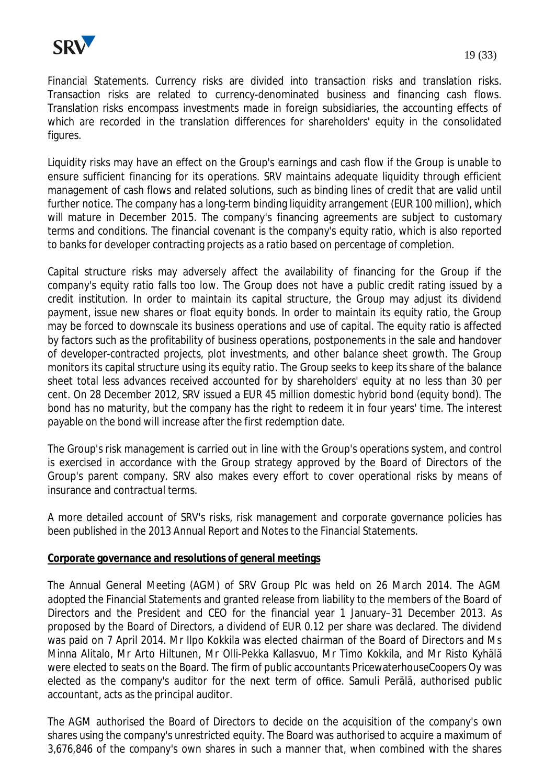

Financial Statements. Currency risks are divided into transaction risks and translation risks. Transaction risks are related to currency-denominated business and financing cash flows. Translation risks encompass investments made in foreign subsidiaries, the accounting effects of which are recorded in the translation differences for shareholders' equity in the consolidated figures.

Liquidity risks may have an effect on the Group's earnings and cash flow if the Group is unable to ensure sufficient financing for its operations. SRV maintains adequate liquidity through efficient management of cash flows and related solutions, such as binding lines of credit that are valid until further notice. The company has a long-term binding liquidity arrangement (EUR 100 million), which will mature in December 2015. The company's financing agreements are subject to customary terms and conditions. The financial covenant is the company's equity ratio, which is also reported to banks for developer contracting projects as a ratio based on percentage of completion.

Capital structure risks may adversely affect the availability of financing for the Group if the company's equity ratio falls too low. The Group does not have a public credit rating issued by a credit institution. In order to maintain its capital structure, the Group may adjust its dividend payment, issue new shares or float equity bonds. In order to maintain its equity ratio, the Group may be forced to downscale its business operations and use of capital. The equity ratio is affected by factors such as the profitability of business operations, postponements in the sale and handover of developer-contracted projects, plot investments, and other balance sheet growth. The Group monitors its capital structure using its equity ratio. The Group seeks to keep its share of the balance sheet total less advances received accounted for by shareholders' equity at no less than 30 per cent. On 28 December 2012, SRV issued a EUR 45 million domestic hybrid bond (equity bond). The bond has no maturity, but the company has the right to redeem it in four years' time. The interest payable on the bond will increase after the first redemption date.

The Group's risk management is carried out in line with the Group's operations system, and control is exercised in accordance with the Group strategy approved by the Board of Directors of the Group's parent company. SRV also makes every effort to cover operational risks by means of insurance and contractual terms.

A more detailed account of SRV's risks, risk management and corporate governance policies has been published in the 2013 Annual Report and Notes to the Financial Statements.

#### **Corporate governance and resolutions of general meetings**

The Annual General Meeting (AGM) of SRV Group Plc was held on 26 March 2014. The AGM adopted the Financial Statements and granted release from liability to the members of the Board of Directors and the President and CEO for the financial year 1 January–31 December 2013. As proposed by the Board of Directors, a dividend of EUR 0.12 per share was declared. The dividend was paid on 7 April 2014. Mr Ilpo Kokkila was elected chairman of the Board of Directors and Ms Minna Alitalo, Mr Arto Hiltunen, Mr Olli-Pekka Kallasvuo, Mr Timo Kokkila, and Mr Risto Kyhälä were elected to seats on the Board. The firm of public accountants PricewaterhouseCoopers Oy was elected as the company's auditor for the next term of office. Samuli Perälä, authorised public accountant, acts as the principal auditor.

The AGM authorised the Board of Directors to decide on the acquisition of the company's own shares using the company's unrestricted equity. The Board was authorised to acquire a maximum of 3,676,846 of the company's own shares in such a manner that, when combined with the shares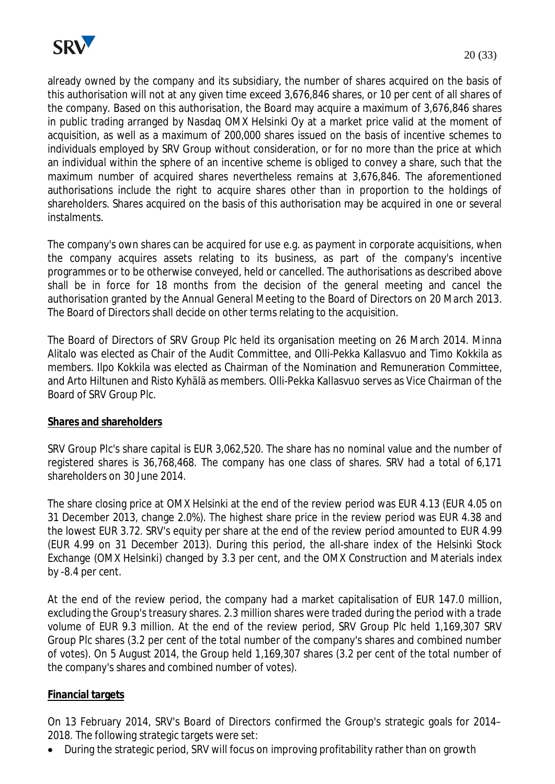

already owned by the company and its subsidiary, the number of shares acquired on the basis of this authorisation will not at any given time exceed 3,676,846 shares, or 10 per cent of all shares of the company. Based on this authorisation, the Board may acquire a maximum of 3,676,846 shares in public trading arranged by Nasdaq OMX Helsinki Oy at a market price valid at the moment of acquisition, as well as a maximum of 200,000 shares issued on the basis of incentive schemes to individuals employed by SRV Group without consideration, or for no more than the price at which an individual within the sphere of an incentive scheme is obliged to convey a share, such that the maximum number of acquired shares nevertheless remains at 3,676,846. The aforementioned authorisations include the right to acquire shares other than in proportion to the holdings of shareholders. Shares acquired on the basis of this authorisation may be acquired in one or several instalments.

The company's own shares can be acquired for use e.g. as payment in corporate acquisitions, when the company acquires assets relating to its business, as part of the company's incentive programmes or to be otherwise conveyed, held or cancelled. The authorisations as described above shall be in force for 18 months from the decision of the general meeting and cancel the authorisation granted by the Annual General Meeting to the Board of Directors on 20 March 2013. The Board of Directors shall decide on other terms relating to the acquisition.

The Board of Directors of SRV Group Plc held its organisation meeting on 26 March 2014. Minna Alitalo was elected as Chair of the Audit Committee, and Olli-Pekka Kallasvuo and Timo Kokkila as members. Ilpo Kokkila was elected as Chairman of the Nomination and Remuneration Committee, and Arto Hiltunen and Risto Kyhälä as members. Olli-Pekka Kallasvuo serves as Vice Chairman of the Board of SRV Group Plc.

#### **Shares and shareholders**

SRV Group Plc's share capital is EUR 3,062,520. The share has no nominal value and the number of registered shares is 36,768,468. The company has one class of shares. SRV had a total of 6,171 shareholders on 30 June 2014.

The share closing price at OMX Helsinki at the end of the review period was EUR 4.13 (EUR 4.05 on 31 December 2013, change 2.0%). The highest share price in the review period was EUR 4.38 and the lowest EUR 3.72. SRV's equity per share at the end of the review period amounted to EUR 4.99 (EUR 4.99 on 31 December 2013). During this period, the all-share index of the Helsinki Stock Exchange (OMX Helsinki) changed by 3.3 per cent, and the OMX Construction and Materials index by -8.4 per cent.

At the end of the review period, the company had a market capitalisation of EUR 147.0 million, excluding the Group's treasury shares. 2.3 million shares were traded during the period with a trade volume of EUR 9.3 million. At the end of the review period, SRV Group Plc held 1,169,307 SRV Group Plc shares (3.2 per cent of the total number of the company's shares and combined number of votes). On 5 August 2014, the Group held 1,169,307 shares (3.2 per cent of the total number of the company's shares and combined number of votes).

#### **Financial targets**

On 13 February 2014, SRV's Board of Directors confirmed the Group's strategic goals for 2014– 2018. The following strategic targets were set:

During the strategic period, SRV will focus on improving profitability rather than on growth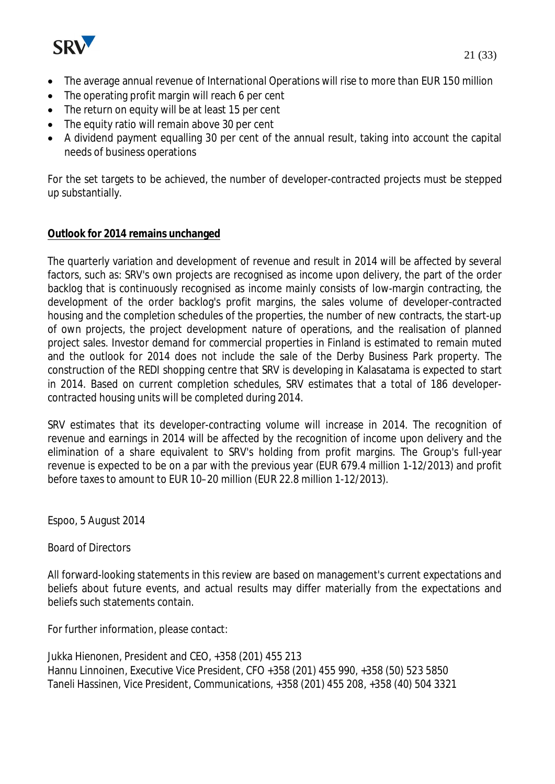

- The average annual revenue of International Operations will rise to more than EUR 150 million
- $\bullet$  The operating profit margin will reach 6 per cent
- The return on equity will be at least 15 per cent
- $\bullet$  The equity ratio will remain above 30 per cent
- A dividend payment equalling 30 per cent of the annual result, taking into account the capital needs of business operations

For the set targets to be achieved, the number of developer-contracted projects must be stepped up substantially.

# **Outlook for 2014 remains unchanged**

The quarterly variation and development of revenue and result in 2014 will be affected by several factors, such as: SRV's own projects are recognised as income upon delivery, the part of the order backlog that is continuously recognised as income mainly consists of low-margin contracting, the development of the order backlog's profit margins, the sales volume of developer-contracted housing and the completion schedules of the properties, the number of new contracts, the start-up of own projects, the project development nature of operations, and the realisation of planned project sales. Investor demand for commercial properties in Finland is estimated to remain muted and the outlook for 2014 does not include the sale of the Derby Business Park property. The construction of the REDI shopping centre that SRV is developing in Kalasatama is expected to start in 2014. Based on current completion schedules, SRV estimates that a total of 186 developercontracted housing units will be completed during 2014.

SRV estimates that its developer-contracting volume will increase in 2014. The recognition of revenue and earnings in 2014 will be affected by the recognition of income upon delivery and the elimination of a share equivalent to SRV's holding from profit margins. The Group's full-year revenue is expected to be on a par with the previous year (EUR 679.4 million 1-12/2013) and profit before taxes to amount to EUR 10–20 million (EUR 22.8 million 1-12/2013).

Espoo, 5 August 2014

#### Board of Directors

All forward-looking statements in this review are based on management's current expectations and beliefs about future events, and actual results may differ materially from the expectations and beliefs such statements contain.

For further information, please contact:

Jukka Hienonen, President and CEO, +358 (201) 455 213 Hannu Linnoinen, Executive Vice President, CFO +358 (201) 455 990, +358 (50) 523 5850 Taneli Hassinen, Vice President, Communications, +358 (201) 455 208, +358 (40) 504 3321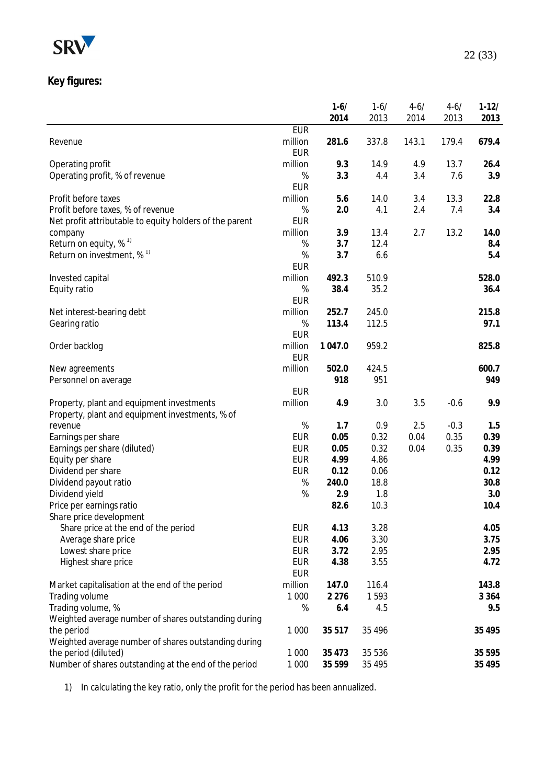

# **Key figures:**

|                                                         |                       | $1 - 6/$ | $1 - 6/$ | $4 - 6/$ | $4 - 6/$ | $1-12/$ |
|---------------------------------------------------------|-----------------------|----------|----------|----------|----------|---------|
|                                                         |                       | 2014     | 2013     | 2014     | 2013     | 2013    |
|                                                         | <b>EUR</b>            |          |          |          |          |         |
| Revenue                                                 | million               | 281.6    | 337.8    | 143.1    | 179.4    | 679.4   |
|                                                         | <b>EUR</b>            |          |          |          |          |         |
| Operating profit                                        | million               | 9.3      | 14.9     | 4.9      | 13.7     | 26.4    |
| Operating profit, % of revenue                          | %                     | 3.3      | 4.4      | 3.4      | 7.6      | 3.9     |
|                                                         | <b>EUR</b>            |          |          |          |          |         |
| Profit before taxes                                     | million               | 5.6      | 14.0     | 3.4      | 13.3     | 22.8    |
| Profit before taxes, % of revenue                       | $\%$                  | 2.0      | 4.1      | 2.4      | 7.4      | 3.4     |
| Net profit attributable to equity holders of the parent | <b>EUR</b>            |          |          |          |          |         |
| company                                                 | million               | 3.9      | 13.4     | 2.7      | 13.2     | 14.0    |
| Return on equity, $% ^{1}$                              | $\%$                  | 3.7      | 12.4     |          |          | 8.4     |
| Return on investment, $\%$ <sup>1)</sup>                | $\%$                  | 3.7      | 6.6      |          |          | 5.4     |
|                                                         | <b>EUR</b>            |          |          |          |          |         |
| Invested capital                                        | million               | 492.3    | 510.9    |          |          | 528.0   |
| Equity ratio                                            | $\%$                  | 38.4     | 35.2     |          |          | 36.4    |
|                                                         | <b>EUR</b>            |          |          |          |          |         |
| Net interest-bearing debt                               | million               | 252.7    | 245.0    |          |          | 215.8   |
| Gearing ratio                                           | $\%$                  | 113.4    | 112.5    |          |          | 97.1    |
|                                                         | <b>EUR</b><br>million | 1 047.0  | 959.2    |          |          | 825.8   |
| Order backlog                                           | <b>EUR</b>            |          |          |          |          |         |
| New agreements                                          | million               | 502.0    | 424.5    |          |          | 600.7   |
| Personnel on average                                    |                       | 918      | 951      |          |          | 949     |
|                                                         | <b>EUR</b>            |          |          |          |          |         |
| Property, plant and equipment investments               | million               | 4.9      | 3.0      | 3.5      | $-0.6$   | 9.9     |
| Property, plant and equipment investments, % of         |                       |          |          |          |          |         |
| revenue                                                 | $\%$                  | 1.7      | 0.9      | 2.5      | $-0.3$   | 1.5     |
| Earnings per share                                      | <b>EUR</b>            | 0.05     | 0.32     | 0.04     | 0.35     | 0.39    |
| Earnings per share (diluted)                            | <b>EUR</b>            | 0.05     | 0.32     | 0.04     | 0.35     | 0.39    |
| Equity per share                                        | <b>EUR</b>            | 4.99     | 4.86     |          |          | 4.99    |
| Dividend per share                                      | <b>EUR</b>            | 0.12     | 0.06     |          |          | 0.12    |
| Dividend payout ratio                                   | $\%$                  | 240.0    | 18.8     |          |          | 30.8    |
| Dividend yield                                          | $\%$                  | 2.9      | 1.8      |          |          | 3.0     |
| Price per earnings ratio                                |                       | 82.6     | 10.3     |          |          | 10.4    |
| Share price development                                 |                       |          |          |          |          |         |
| Share price at the end of the period                    | <b>EUR</b>            | 4.13     | 3.28     |          |          | 4.05    |
| Average share price                                     | <b>EUR</b>            | 4.06     | 3.30     |          |          | 3.75    |
| Lowest share price                                      | <b>EUR</b>            | 3.72     | 2.95     |          |          | 2.95    |
| Highest share price                                     | <b>EUR</b>            | 4.38     | 3.55     |          |          | 4.72    |
|                                                         | <b>EUR</b>            |          |          |          |          |         |
| Market capitalisation at the end of the period          | million               | 147.0    | 116.4    |          |          | 143.8   |
| Trading volume                                          | 1 0 0 0               | 2 2 7 6  | 1593     |          |          | 3 3 6 4 |
| Trading volume, %                                       | $\%$                  | 6.4      | 4.5      |          |          | 9.5     |
| Weighted average number of shares outstanding during    |                       |          |          |          |          |         |
| the period                                              | 1 0 0 0               | 35 517   | 35 4 9 6 |          |          | 35 4 95 |
| Weighted average number of shares outstanding during    |                       |          |          |          |          |         |
| the period (diluted)                                    | 1 0 0 0               | 35 4 73  | 35 5 36  |          |          | 35 5 95 |
| Number of shares outstanding at the end of the period   | 1 0 0 0               | 35 5 9 9 | 35 4 95  |          |          | 35 4 95 |

1) In calculating the key ratio, only the profit for the period has been annualized.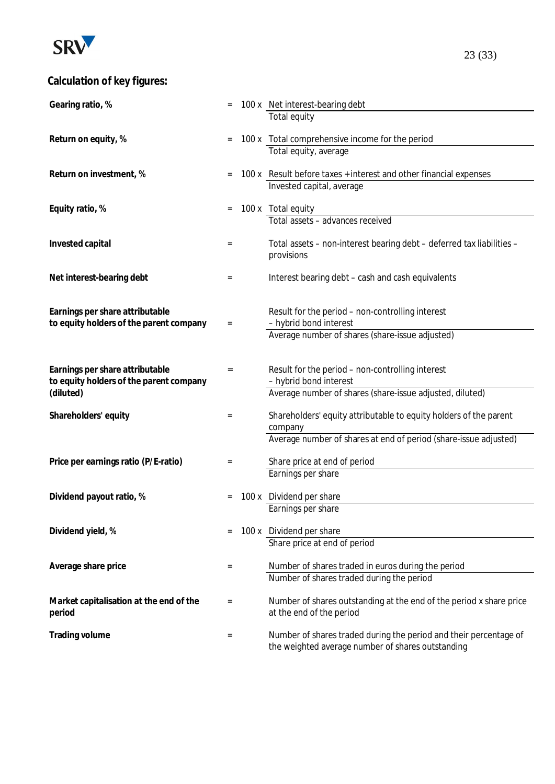

# **Calculation of key figures:**

| Gearing ratio, %                        |           | 100 x Net interest-bearing debt                                            |
|-----------------------------------------|-----------|----------------------------------------------------------------------------|
|                                         |           | Total equity                                                               |
|                                         |           |                                                                            |
| Return on equity, %                     | $=$       | 100 x Total comprehensive income for the period                            |
|                                         |           | Total equity, average                                                      |
|                                         |           |                                                                            |
| Return on investment, %                 |           | 100 x Result before taxes + interest and other financial expenses          |
|                                         |           | Invested capital, average                                                  |
| Equity ratio, %                         |           | 100 x Total equity                                                         |
|                                         |           | Total assets - advances received                                           |
|                                         |           |                                                                            |
| Invested capital                        | $=$       | Total assets - non-interest bearing debt - deferred tax liabilities -      |
|                                         |           | provisions                                                                 |
|                                         |           |                                                                            |
| Net interest-bearing debt               | $\equiv$  | Interest bearing debt - cash and cash equivalents                          |
|                                         |           |                                                                            |
|                                         |           |                                                                            |
| Earnings per share attributable         |           | Result for the period - non-controlling interest                           |
| to equity holders of the parent company | $\quad =$ | - hybrid bond interest                                                     |
|                                         |           | Average number of shares (share-issue adjusted)                            |
|                                         |           |                                                                            |
| Earnings per share attributable         |           |                                                                            |
| to equity holders of the parent company | $=$       | Result for the period - non-controlling interest<br>- hybrid bond interest |
| (diluted)                               |           | Average number of shares (share-issue adjusted, diluted)                   |
|                                         |           |                                                                            |
| Shareholders' equity                    | $=$       | Shareholders' equity attributable to equity holders of the parent          |
|                                         |           | company                                                                    |
|                                         |           | Average number of shares at end of period (share-issue adjusted)           |
|                                         |           |                                                                            |
| Price per earnings ratio (P/E-ratio)    | $\equiv$  | Share price at end of period                                               |
|                                         |           | Earnings per share                                                         |
|                                         |           |                                                                            |
| Dividend payout ratio, %                |           | 100 x Dividend per share                                                   |
|                                         |           | Earnings per share                                                         |
| Dividend yield, %                       |           | 100 x Dividend per share                                                   |
|                                         |           | Share price at end of period                                               |
|                                         |           |                                                                            |
| Average share price                     | $\equiv$  | Number of shares traded in euros during the period                         |
|                                         |           | Number of shares traded during the period                                  |
|                                         |           |                                                                            |
| Market capitalisation at the end of the | $=$       | Number of shares outstanding at the end of the period x share price        |
| period                                  |           | at the end of the period                                                   |
|                                         |           |                                                                            |
| Trading volume                          | $=$       | Number of shares traded during the period and their percentage of          |
|                                         |           | the weighted average number of shares outstanding                          |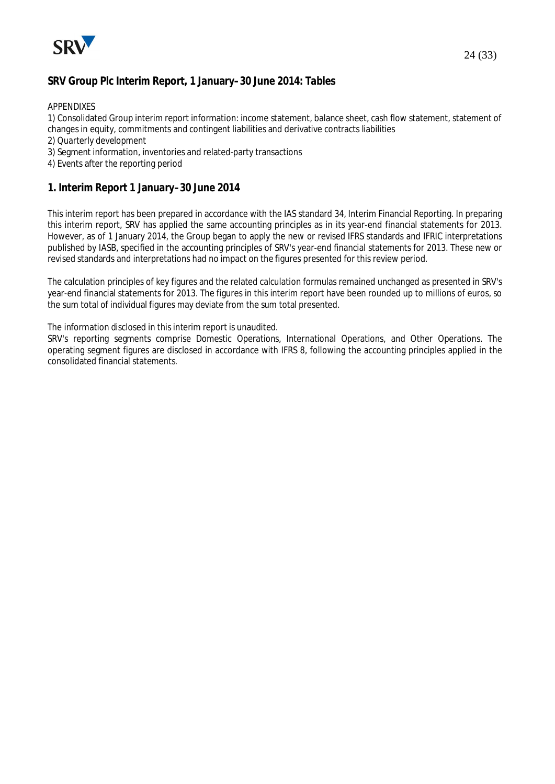

### **SRV Group Plc Interim Report, 1 January–30 June 2014: Tables**

APPENDIXES

1) Consolidated Group interim report information: income statement, balance sheet, cash flow statement, statement of changes in equity, commitments and contingent liabilities and derivative contracts liabilities

- 2) Quarterly development
- 3) Segment information, inventories and related-party transactions
- 4) Events after the reporting period

#### **1. Interim Report 1 January–30 June 2014**

This interim report has been prepared in accordance with the IAS standard 34, Interim Financial Reporting. In preparing this interim report, SRV has applied the same accounting principles as in its year-end financial statements for 2013. However, as of 1 January 2014, the Group began to apply the new or revised IFRS standards and IFRIC interpretations published by IASB, specified in the accounting principles of SRV's year-end financial statements for 2013. These new or revised standards and interpretations had no impact on the figures presented for this review period.

The calculation principles of key figures and the related calculation formulas remained unchanged as presented in SRV's year-end financial statements for 2013. The figures in this interim report have been rounded up to millions of euros, so the sum total of individual figures may deviate from the sum total presented.

The information disclosed in this interim report is unaudited.

SRV's reporting segments comprise Domestic Operations, International Operations, and Other Operations. The operating segment figures are disclosed in accordance with IFRS 8, following the accounting principles applied in the consolidated financial statements.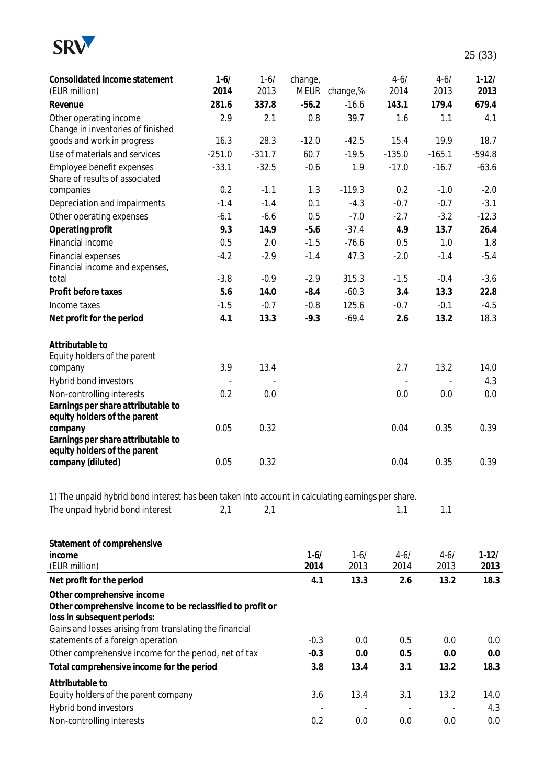

| Consolidated income statement<br>(EUR million)                                                                          | $1 - 6/$<br>2014 | $1 - 6/$<br>2013 | change,<br>meur | change,% | $4 - 6/$<br>2014 | $4 - 6/$<br>2013 | $1-12/$<br>2013 |
|-------------------------------------------------------------------------------------------------------------------------|------------------|------------------|-----------------|----------|------------------|------------------|-----------------|
| Revenue                                                                                                                 | 281.6            | 337.8            | $-56.2$         | $-16.6$  | 143.1            | 179.4            | 679.4           |
| Other operating income                                                                                                  | 2.9              | 2.1              | 0.8             | 39.7     | 1.6              | 1.1              | 4.1             |
| Change in inventories of finished                                                                                       |                  |                  |                 |          |                  |                  |                 |
| goods and work in progress                                                                                              | 16.3             | 28.3             | $-12.0$         | $-42.5$  | 15.4             | 19.9             | 18.7            |
| Use of materials and services                                                                                           | $-251.0$         | $-311.7$         | 60.7            | $-19.5$  | $-135.0$         | $-165.1$         | $-594.8$        |
| Employee benefit expenses<br>Share of results of associated                                                             | $-33.1$          | $-32.5$          | $-0.6$          | 1.9      | $-17.0$          | $-16.7$          | $-63.6$         |
| companies                                                                                                               | 0.2              | $-1.1$           | 1.3             | $-119.3$ | 0.2              | $-1.0$           | $-2.0$          |
| Depreciation and impairments                                                                                            | $-1.4$           | $-1.4$           | 0.1             | $-4.3$   | $-0.7$           | $-0.7$           | $-3.1$          |
| Other operating expenses                                                                                                | $-6.1$           | $-6.6$           | 0.5             | $-7.0$   | $-2.7$           | $-3.2$           | $-12.3$         |
| Operating profit                                                                                                        | 9.3              | 14.9             | $-5.6$          | $-37.4$  | 4.9              | 13.7             | 26.4            |
| Financial income                                                                                                        | 0.5              | 2.0              | $-1.5$          | $-76.6$  | 0.5              | 1.0              | 1.8             |
| Financial expenses<br>Financial income and expenses,                                                                    | $-4.2$           | $-2.9$           | $-1.4$          | 47.3     | $-2.0$           | $-1.4$           | $-5.4$          |
| total                                                                                                                   | $-3.8$           | $-0.9$           | $-2.9$          | 315.3    | $-1.5$           | $-0.4$           | $-3.6$          |
| Profit before taxes                                                                                                     | 5.6              | 14.0             | $-8.4$          | $-60.3$  | 3.4              | 13.3             | 22.8            |
| Income taxes                                                                                                            | $-1.5$           | $-0.7$           | $-0.8$          | 125.6    | $-0.7$           | $-0.1$           | $-4.5$          |
| Net profit for the period                                                                                               | 4.1              | 13.3             | $-9.3$          | $-69.4$  | 2.6              | 13.2             | 18.3            |
| Attributable to                                                                                                         |                  |                  |                 |          |                  |                  |                 |
| Equity holders of the parent                                                                                            |                  |                  |                 |          |                  |                  |                 |
| company                                                                                                                 | 3.9              | 13.4             |                 |          | 2.7              | 13.2             | 14.0            |
| Hybrid bond investors                                                                                                   |                  |                  |                 |          |                  |                  | 4.3             |
| Non-controlling interests<br>Earnings per share attributable to<br>equity holders of the parent                         | 0.2              | 0.0              |                 |          | 0.0              | 0.0              | 0.0             |
| company                                                                                                                 | 0.05             | 0.32             |                 |          | 0.04             | 0.35             | 0.39            |
| Earnings per share attributable to<br>equity holders of the parent                                                      |                  |                  |                 |          |                  |                  |                 |
| company (diluted)                                                                                                       | 0.05             | 0.32             |                 |          | 0.04             | 0.35             | 0.39            |
| 1) The unpaid hybrid bond interest has been taken into account in calculating earnings per share.                       |                  |                  |                 |          |                  |                  |                 |
| The unpaid hybrid bond interest                                                                                         | 2,1              | 2,1              |                 |          | 1,1              | 1,1              |                 |
|                                                                                                                         |                  |                  |                 |          |                  |                  |                 |
| Statement of comprehensive                                                                                              |                  |                  |                 |          |                  |                  |                 |
| income                                                                                                                  |                  |                  | $1 - 6/$        | $1 - 6/$ | $4 - 6/$         | $4 - 6/$         | $1-12/$         |
| (EUR million)                                                                                                           |                  |                  | 2014            | 2013     | 2014             | 2013             | 2013            |
| Net profit for the period                                                                                               |                  |                  | 4.1             | 13.3     | 2.6              | 13.2             | 18.3            |
| Other comprehensive income<br>Other comprehensive income to be reclassified to profit or<br>loss in subsequent periods: |                  |                  |                 |          |                  |                  |                 |
| Gains and losses arising from translating the financial                                                                 |                  |                  |                 |          |                  |                  |                 |
| statements of a foreign operation                                                                                       |                  |                  | $-0.3$          | 0.0      | 0.5              | 0.0              | 0.0             |
| Other comprehensive income for the period, net of tax                                                                   |                  |                  | $-0.3$          | 0.0      | 0.5              | 0.0              | 0.0             |
| Total comprehensive income for the period                                                                               |                  |                  | 3.8             | 13.4     | 3.1              | 13.2             | 18.3            |
| Attributable to                                                                                                         |                  |                  |                 |          |                  |                  |                 |
| Equity holders of the parent company                                                                                    |                  |                  | 3.6             | 13.4     | 3.1              | 13.2             | 14.0            |
| Hybrid bond investors                                                                                                   |                  |                  |                 |          |                  |                  | 4.3             |
| Non-controlling interests                                                                                               |                  |                  | 0.2             | 0.0      | 0.0              | 0.0              | 0.0             |
|                                                                                                                         |                  |                  |                 |          |                  |                  |                 |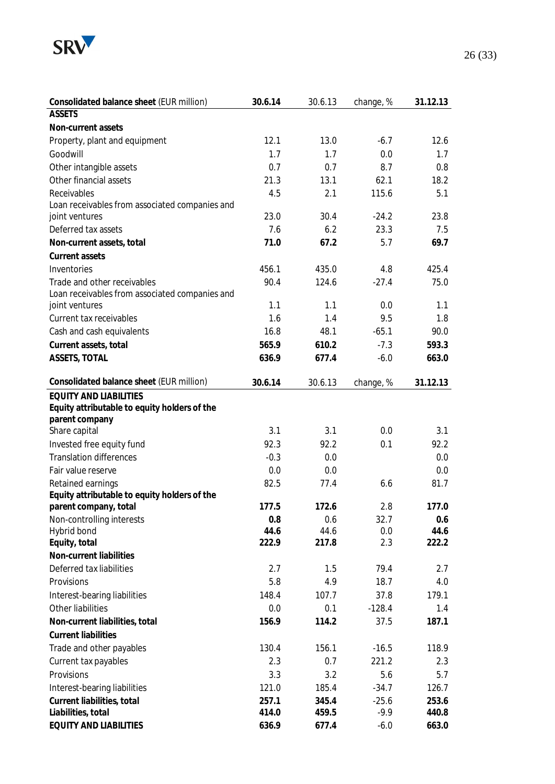

| Consolidated balance sheet (EUR million)       | 30.6.14 | 30.6.13 | change, %         | 31.12.13 |
|------------------------------------------------|---------|---------|-------------------|----------|
| <b>ASSETS</b>                                  |         |         |                   |          |
| Non-current assets                             |         |         |                   |          |
| Property, plant and equipment                  | 12.1    | 13.0    | $-6.7$            | 12.6     |
| Goodwill                                       | 1.7     | 1.7     | 0.0               | 1.7      |
| Other intangible assets                        | 0.7     | 0.7     | 8.7               | 0.8      |
| Other financial assets                         | 21.3    | 13.1    | 62.1              | 18.2     |
| Receivables                                    | 4.5     | 2.1     | 115.6             | 5.1      |
| Loan receivables from associated companies and |         |         |                   |          |
| joint ventures                                 | 23.0    | 30.4    | $-24.2$           | 23.8     |
| Deferred tax assets                            | 7.6     | 6.2     | 23.3              | 7.5      |
| Non-current assets, total                      | 71.0    | 67.2    | 5.7               | 69.7     |
| Current assets                                 |         |         |                   |          |
| Inventories                                    | 456.1   | 435.0   | 4.8               | 425.4    |
| Trade and other receivables                    | 90.4    | 124.6   | $-27.4$           | 75.0     |
| Loan receivables from associated companies and |         |         |                   |          |
| joint ventures                                 | 1.1     | 1.1     | 0.0               | 1.1      |
| Current tax receivables                        | 1.6     | 1.4     | 9.5               | 1.8      |
| Cash and cash equivalents                      | 16.8    | 48.1    | $-65.1$           | 90.0     |
| Current assets, total                          | 565.9   | 610.2   | $-7.3$            | 593.3    |
| ASSETS, TOTAL                                  | 636.9   | 677.4   | $-6.0$            | 663.0    |
| Consolidated balance sheet (EUR million)       | 30.6.14 | 30.6.13 | change, %         | 31.12.13 |
| <b>EQUITY AND LIABILITIES</b>                  |         |         |                   |          |
| Equity attributable to equity holders of the   |         |         |                   |          |
| parent company                                 |         |         |                   |          |
| Share capital                                  | 3.1     | 3.1     | 0.0               | 3.1      |
| Invested free equity fund                      | 92.3    | 92.2    | 0.1               | 92.2     |
| <b>Translation differences</b>                 | $-0.3$  | 0.0     |                   | 0.0      |
| Fair value reserve                             | 0.0     | 0.0     |                   | 0.0      |
| Retained earnings                              | 82.5    | 77.4    | 6.6               | 81.7     |
| Equity attributable to equity holders of the   |         |         |                   |          |
| parent company, total                          | 177.5   | 172.6   | 2.8               | 177.0    |
| Non-controlling interests                      | 0.8     | 0.6     | 32.7              | 0.6      |
| Hybrid bond                                    | 44.6    | 44.6    | 0.0               | 44.6     |
| Equity, total                                  | 222.9   | 217.8   | 2.3               | 222.2    |
| Non-current liabilities                        |         |         |                   |          |
| Deferred tax liabilities                       | 2.7     | 1.5     | 79.4              | 2.7      |
| Provisions                                     | 5.8     | 4.9     | 18.7              | 4.0      |
| Interest-bearing liabilities                   | 148.4   | 107.7   | 37.8              | 179.1    |
| Other liabilities                              | 0.0     | 0.1     | $-128.4$          | 1.4      |
| Non-current liabilities, total                 | 156.9   | 114.2   | 37.5              | 187.1    |
| <b>Current liabilities</b>                     |         |         |                   |          |
| Trade and other payables                       | 130.4   | 156.1   | $-16.5$           | 118.9    |
| Current tax payables                           | 2.3     | 0.7     | 221.2             | 2.3      |
| Provisions                                     | 3.3     | 3.2     | 5.6               | 5.7      |
|                                                | 121.0   | 185.4   | $-34.7$           |          |
| Interest-bearing liabilities                   |         |         |                   | 126.7    |
| Current liabilities, total                     | 257.1   | 345.4   | $-25.6$<br>$-9.9$ | 253.6    |
| Liabilities, total                             | 414.0   | 459.5   |                   | 440.8    |
| EQUITY AND LIABILITIES                         | 636.9   | 677.4   | $-6.0$            | 663.0    |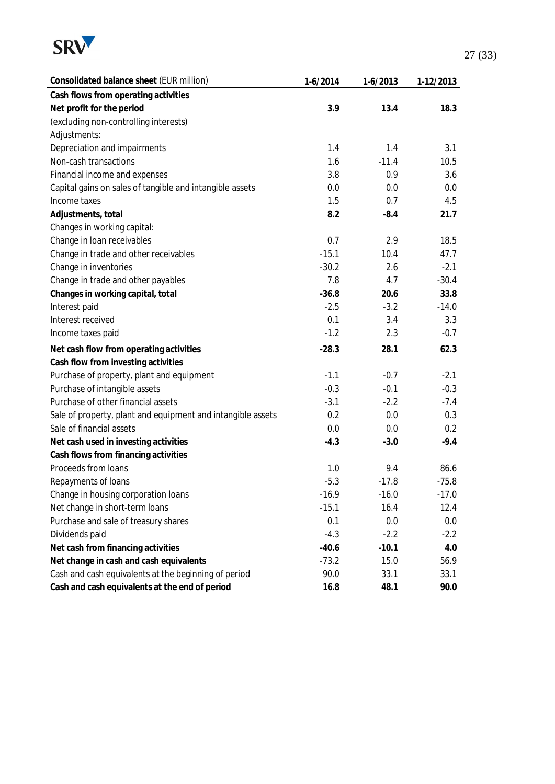

| Consolidated balance sheet (EUR million)                    | $1-6/2014$ | $1-6/2013$ | 1-12/2013 |
|-------------------------------------------------------------|------------|------------|-----------|
| Cash flows from operating activities                        |            |            |           |
| Net profit for the period                                   | 3.9        | 13.4       | 18.3      |
| (excluding non-controlling interests)                       |            |            |           |
| Adjustments:                                                |            |            |           |
| Depreciation and impairments                                | 1.4        | 1.4        | 3.1       |
| Non-cash transactions                                       | 1.6        | $-11.4$    | 10.5      |
| Financial income and expenses                               | 3.8        | 0.9        | 3.6       |
| Capital gains on sales of tangible and intangible assets    | 0.0        | 0.0        | 0.0       |
| Income taxes                                                | 1.5        | 0.7        | 4.5       |
| Adjustments, total                                          | 8.2        | $-8.4$     | 21.7      |
| Changes in working capital:                                 |            |            |           |
| Change in Ioan receivables                                  | 0.7        | 2.9        | 18.5      |
| Change in trade and other receivables                       | $-15.1$    | 10.4       | 47.7      |
| Change in inventories                                       | $-30.2$    | 2.6        | $-2.1$    |
| Change in trade and other payables                          | 7.8        | 4.7        | $-30.4$   |
| Changes in working capital, total                           | $-36.8$    | 20.6       | 33.8      |
| Interest paid                                               | $-2.5$     | $-3.2$     | $-14.0$   |
| Interest received                                           | 0.1        | 3.4        | 3.3       |
| Income taxes paid                                           | $-1.2$     | 2.3        | $-0.7$    |
| Net cash flow from operating activities                     | $-28.3$    | 28.1       | 62.3      |
| Cash flow from investing activities                         |            |            |           |
| Purchase of property, plant and equipment                   | $-1.1$     | $-0.7$     | $-2.1$    |
| Purchase of intangible assets                               | $-0.3$     | $-0.1$     | $-0.3$    |
| Purchase of other financial assets                          | $-3.1$     | $-2.2$     | $-7.4$    |
| Sale of property, plant and equipment and intangible assets | 0.2        | 0.0        | 0.3       |
| Sale of financial assets                                    | 0.0        | 0.0        | 0.2       |
| Net cash used in investing activities                       | $-4.3$     | $-3.0$     | $-9.4$    |
| Cash flows from financing activities                        |            |            |           |
| Proceeds from loans                                         | 1.0        | 9.4        | 86.6      |
| Repayments of loans                                         | $-5.3$     | $-17.8$    | $-75.8$   |
| Change in housing corporation loans                         | $-16.9$    | $-16.0$    | $-17.0$   |
| Net change in short-term loans                              | $-15.1$    | 16.4       | 12.4      |
| Purchase and sale of treasury shares                        | 0.1        | 0.0        | 0.0       |
| Dividends paid                                              | $-4.3$     | $-2.2$     | $-2.2$    |
| Net cash from financing activities                          | $-40.6$    | $-10.1$    | 4.0       |
| Net change in cash and cash equivalents                     | $-73.2$    | 15.0       | 56.9      |
| Cash and cash equivalents at the beginning of period        | 90.0       | 33.1       | 33.1      |
| Cash and cash equivalents at the end of period              | 16.8       | 48.1       | 90.0      |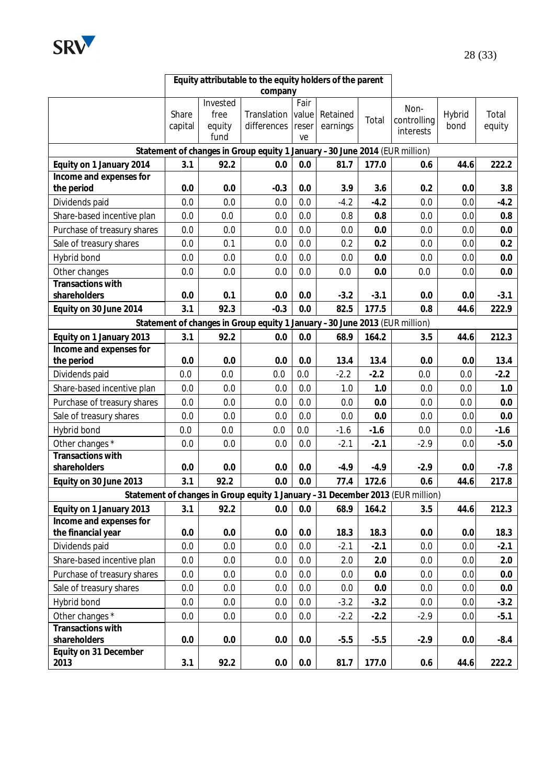

|                                               | Equity attributable to the equity holders of the parent |                                    |                                                                                |                              |                      |        |                                  |                |                 |
|-----------------------------------------------|---------------------------------------------------------|------------------------------------|--------------------------------------------------------------------------------|------------------------------|----------------------|--------|----------------------------------|----------------|-----------------|
|                                               |                                                         |                                    | company                                                                        |                              |                      |        |                                  |                |                 |
|                                               | Share<br>capital                                        | Invested<br>free<br>equity<br>fund | Translation<br>differences                                                     | Fair<br>value<br>reser<br>ve | Retained<br>earnings | Total  | Non-<br>controlling<br>interests | Hybrid<br>bond | Total<br>equity |
|                                               |                                                         |                                    | Statement of changes in Group equity 1 January -30 June 2014 (EUR million)     |                              |                      |        |                                  |                |                 |
| Equity on 1 January 2014                      | 3.1                                                     | 92.2                               | 0.0                                                                            | 0.0                          | 81.7                 | 177.0  | 0.6                              | 44.6           | 222.2           |
| Income and expenses for                       |                                                         |                                    |                                                                                |                              |                      |        |                                  |                |                 |
| the period                                    | 0.0                                                     | 0.0                                | $-0.3$                                                                         | 0.0                          | 3.9                  | 3.6    | 0.2                              | 0.0            | 3.8             |
| Dividends paid                                | 0.0                                                     | 0.0                                | 0.0                                                                            | 0.0                          | $-4.2$               | $-4.2$ | 0.0                              | 0.0            | $-4.2$          |
| Share-based incentive plan                    | 0.0                                                     | 0.0                                | 0.0                                                                            | 0.0                          | 0.8                  | 0.8    | 0.0                              | 0.0            | 0.8             |
| Purchase of treasury shares                   | 0.0                                                     | 0.0                                | 0.0                                                                            | 0.0                          | 0.0                  | 0.0    | 0.0                              | 0.0            | 0.0             |
| Sale of treasury shares                       | 0.0                                                     | 0.1                                | 0.0                                                                            | 0.0                          | 0.2                  | 0.2    | 0.0                              | 0.0            | 0.2             |
| Hybrid bond                                   | 0.0                                                     | 0.0                                | 0.0                                                                            | 0.0                          | 0.0                  | 0.0    | 0.0                              | 0.0            | 0.0             |
| Other changes                                 | 0.0                                                     | 0.0                                | 0.0                                                                            | 0.0                          | 0.0                  | 0.0    | 0.0                              | 0.0            | 0.0             |
| Transactions with<br>shareholders             | 0.0                                                     | 0.1                                | 0.0                                                                            | 0.0                          | $-3.2$               | $-3.1$ | 0.0                              | 0.0            | $-3.1$          |
| Equity on 30 June 2014                        | 3.1                                                     | 92.3                               | $-0.3$                                                                         | 0.0                          | 82.5                 | 177.5  | 0.8                              | 44.6           | 222.9           |
|                                               |                                                         |                                    | Statement of changes in Group equity 1 January -30 June 2013 (EUR million)     |                              |                      |        |                                  |                |                 |
| Equity on 1 January 2013                      | 3.1                                                     | 92.2                               | 0.0                                                                            | 0.0                          | 68.9                 | 164.2  | 3.5                              | 44.6           | 212.3           |
| Income and expenses for                       |                                                         |                                    |                                                                                |                              |                      |        |                                  |                |                 |
| the period                                    | 0.0                                                     | 0.0                                | 0.0                                                                            | 0.0                          | 13.4                 | 13.4   | 0.0                              | 0.0            | 13.4            |
| Dividends paid                                | 0.0                                                     | 0.0                                | 0.0                                                                            | 0.0                          | $-2.2$               | $-2.2$ | 0.0                              | 0.0            | $-2.2$          |
| Share-based incentive plan                    | 0.0                                                     | 0.0                                | 0.0                                                                            | 0.0                          | 1.0                  | 1.0    | 0.0                              | 0.0            | 1.0             |
| Purchase of treasury shares                   | 0.0                                                     | 0.0                                | 0.0                                                                            | 0.0                          | 0.0                  | 0.0    | 0.0                              | 0.0            | 0.0             |
| Sale of treasury shares                       | 0.0                                                     | 0.0                                | 0.0                                                                            | 0.0                          | 0.0                  | 0.0    | 0.0                              | 0.0            | 0.0             |
| Hybrid bond                                   | 0.0                                                     | 0.0                                | 0.0                                                                            | 0.0                          | $-1.6$               | $-1.6$ | 0.0                              | 0.0            | $-1.6$          |
| Other changes *<br>Transactions with          | 0.0                                                     | 0.0                                | 0.0                                                                            | 0.0                          | $-2.1$               | $-2.1$ | $-2.9$                           | 0.0            | $-5.0$          |
| shareholders                                  | 0.0                                                     | 0.0                                | 0.0                                                                            | 0.0                          | $-4.9$               | $-4.9$ | $-2.9$                           | 0.0            | $-7.8$          |
| Equity on 30 June 2013                        | 3.1                                                     | 92.2                               | 0.0                                                                            | 0.0                          | 77.4                 | 172.6  | 0.6                              | 44.6           | 217.8           |
|                                               |                                                         |                                    | Statement of changes in Group equity 1 January -31 December 2013 (EUR million) |                              |                      |        |                                  |                |                 |
| Equity on 1 January 2013                      | 3.1                                                     | 92.2                               | 0.0                                                                            | 0.0                          | 68.9                 | 164.2  | 3.5                              | 44.6           | 212.3           |
| Income and expenses for<br>the financial year | 0.0                                                     | 0.0                                | 0.0                                                                            | 0.0                          | 18.3                 | 18.3   | 0.0                              | 0.0            | 18.3            |
| Dividends paid                                | 0.0                                                     | 0.0                                | 0.0                                                                            | 0.0                          | $-2.1$               | $-2.1$ | 0.0                              | 0.0            | $-2.1$          |
| Share-based incentive plan                    | 0.0                                                     | 0.0                                | 0.0                                                                            | 0.0                          | 2.0                  | 2.0    | 0.0                              | 0.0            | 2.0             |
| Purchase of treasury shares                   | 0.0                                                     | 0.0                                | 0.0                                                                            | 0.0                          | 0.0                  | 0.0    | 0.0                              | 0.0            | 0.0             |
| Sale of treasury shares                       | 0.0                                                     | 0.0                                | 0.0                                                                            | 0.0                          | 0.0                  | 0.0    | 0.0                              | 0.0            | 0.0             |
| Hybrid bond                                   | 0.0                                                     | 0.0                                | 0.0                                                                            | 0.0                          | $-3.2$               | $-3.2$ | 0.0                              | 0.0            | $-3.2$          |
| Other changes *                               | 0.0                                                     | 0.0                                | 0.0                                                                            | 0.0                          | $-2.2$               | $-2.2$ | $-2.9$                           | 0.0            | $-5.1$          |
| Transactions with                             |                                                         |                                    |                                                                                |                              |                      |        |                                  |                |                 |
| shareholders                                  | 0.0                                                     | 0.0                                | 0.0                                                                            | 0.0                          | $-5.5$               | $-5.5$ | $-2.9$                           | 0.0            | $-8.4$          |
| Equity on 31 December<br>2013                 | 3.1                                                     | 92.2                               | $0.0\,$                                                                        | $0.0\,$                      | 81.7                 | 177.0  | 0.6                              | 44.6           | 222.2           |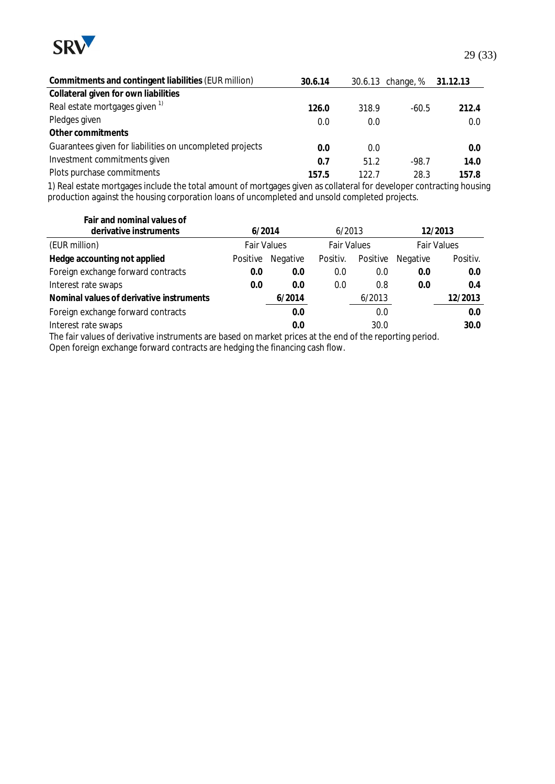

| Commitments and contingent liabilities (EUR million)     | 30.6.14 |       | 30.6.13 change, % | 31.12.13 |
|----------------------------------------------------------|---------|-------|-------------------|----------|
| Collateral given for own liabilities                     |         |       |                   |          |
| Real estate mortgages given <sup>1)</sup>                | 126.0   | 318.9 | $-60.5$           | 212.4    |
| Pledges given                                            | 0.0     | 0.0   |                   | 0.0      |
| Other commitments                                        |         |       |                   |          |
| Guarantees given for liabilities on uncompleted projects | 0.0     | 0.0   |                   | 0.0      |
| Investment commitments given                             | 0.7     | 51.2  | $-98.7$           | 14.0     |
| Plots purchase commitments                               | 157.5   | 122.7 | 28.3              | 157.8    |

1) Real estate mortgages include the total amount of mortgages given as collateral for developer contracting housing production against the housing corporation loans of uncompleted and unsold completed projects.

| Fair and nominal values of                                                                              |                    |          |                    |          |                    |          |  |
|---------------------------------------------------------------------------------------------------------|--------------------|----------|--------------------|----------|--------------------|----------|--|
| derivative instruments                                                                                  | 6/2014             |          | 6/2013             |          |                    | 12/2013  |  |
| (EUR million)                                                                                           | <b>Fair Values</b> |          | <b>Fair Values</b> |          | <b>Fair Values</b> |          |  |
| Hedge accounting not applied                                                                            | Positive           | Negative | Positiv.           | Positive | <b>Negative</b>    | Positiv. |  |
| Foreign exchange forward contracts                                                                      | 0.0                | 0.0      | 0.0                | 0.0      | 0.0                | 0.0      |  |
| Interest rate swaps                                                                                     | 0.0                | 0.0      | 0.0                | 0.8      | 0.0                | 0.4      |  |
| Nominal values of derivative instruments                                                                |                    | 6/2014   |                    | 6/2013   |                    | 12/2013  |  |
| Foreign exchange forward contracts                                                                      |                    | 0.0      |                    | 0.0      |                    | 0.0      |  |
| Interest rate swaps                                                                                     |                    | 0.0      |                    | 30.0     |                    | 30.0     |  |
| The fair values of derivative instruments are based on market prices at the end of the conorting period |                    |          |                    |          |                    |          |  |

The fair values of derivative instruments are based on market prices at the end of the reporting period. Open foreign exchange forward contracts are hedging the financing cash flow.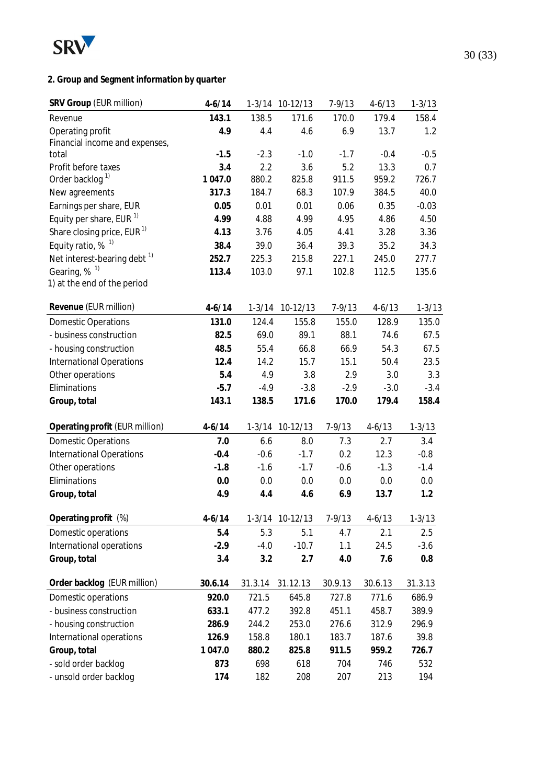

# **2. Group and Segment information by quarter**

| SRV Group (EUR million)                 | $4 - 6/14$ |            | 1-3/14 10-12/13 | $7 - 9/13$ | $4 - 6/13$ | $1 - 3/13$ |
|-----------------------------------------|------------|------------|-----------------|------------|------------|------------|
| Revenue                                 | 143.1      | 138.5      | 171.6           | 170.0      | 179.4      | 158.4      |
| Operating profit                        | 4.9        | 4.4        | 4.6             | 6.9        | 13.7       | 1.2        |
| Financial income and expenses,          |            |            |                 |            |            |            |
| total                                   | $-1.5$     | $-2.3$     | $-1.0$          | $-1.7$     | $-0.4$     | $-0.5$     |
| Profit before taxes                     | 3.4        | 2.2        | 3.6             | 5.2        | 13.3       | 0.7        |
| Order backlog <sup>1)</sup>             | 1 047.0    | 880.2      | 825.8           | 911.5      | 959.2      | 726.7      |
| New agreements                          | 317.3      | 184.7      | 68.3            | 107.9      | 384.5      | 40.0       |
| Earnings per share, EUR                 | 0.05       | 0.01       | 0.01            | 0.06       | 0.35       | $-0.03$    |
| Equity per share, EUR <sup>1)</sup>     | 4.99       | 4.88       | 4.99            | 4.95       | 4.86       | 4.50       |
| Share closing price, EUR <sup>1)</sup>  | 4.13       | 3.76       | 4.05            | 4.41       | 3.28       | 3.36       |
| Equity ratio, $%$ <sup>1)</sup>         | 38.4       | 39.0       | 36.4            | 39.3       | 35.2       | 34.3       |
| Net interest-bearing debt <sup>1)</sup> | 252.7      | 225.3      | 215.8           | 227.1      | 245.0      | 277.7      |
| Gearing, % <sup>1)</sup>                | 113.4      | 103.0      | 97.1            | 102.8      | 112.5      | 135.6      |
| 1) at the end of the period             |            |            |                 |            |            |            |
| Revenue (EUR million)                   | $4 - 6/14$ | $1 - 3/14$ | 10-12/13        | $7 - 9/13$ | $4 - 6/13$ | $1 - 3/13$ |
| <b>Domestic Operations</b>              | 131.0      | 124.4      | 155.8           | 155.0      | 128.9      | 135.0      |
| - business construction                 | 82.5       | 69.0       | 89.1            | 88.1       | 74.6       | 67.5       |
| - housing construction                  | 48.5       | 55.4       | 66.8            | 66.9       | 54.3       | 67.5       |
| <b>International Operations</b>         | 12.4       | 14.2       | 15.7            | 15.1       | 50.4       | 23.5       |
| Other operations                        | 5.4        | 4.9        | 3.8             | 2.9        | 3.0        | 3.3        |
| Eliminations                            | $-5.7$     | $-4.9$     | $-3.8$          | $-2.9$     | $-3.0$     | $-3.4$     |
| Group, total                            | 143.1      | 138.5      | 171.6           | 170.0      | 179.4      | 158.4      |
| Operating profit (EUR million)          | $4 - 6/14$ |            | 1-3/14 10-12/13 | $7 - 9/13$ | $4 - 6/13$ | $1 - 3/13$ |
| <b>Domestic Operations</b>              | 7.0        | 6.6        | 8.0             | 7.3        | 2.7        | 3.4        |
| International Operations                | $-0.4$     | $-0.6$     | $-1.7$          | 0.2        | 12.3       | $-0.8$     |
| Other operations                        | $-1.8$     | $-1.6$     | $-1.7$          | $-0.6$     | $-1.3$     | $-1.4$     |
| Eliminations                            | 0.0        | 0.0        | 0.0             | 0.0        | 0.0        | 0.0        |
| Group, total                            | 4.9        | 4.4        | 4.6             | 6.9        | 13.7       | 1.2        |
|                                         |            |            |                 |            |            |            |
| Operating profit (%)                    | $4 - 6/14$ |            | 1-3/14 10-12/13 | $7 - 9/13$ | $4 - 6/13$ | $1 - 3/13$ |
| Domestic operations                     | 5.4        | 5.3        | 5.1             | 4.7        | 2.1        | 2.5        |
| International operations                | $-2.9$     | $-4.0$     | $-10.7$         | 1.1        | 24.5       | $-3.6$     |
| Group, total                            | 3.4        | 3.2        | 2.7             | 4.0        | 7.6        | 0.8        |
| Order backlog (EUR million)             | 30.6.14    | 31.3.14    | 31.12.13        | 30.9.13    | 30.6.13    | 31.3.13    |
| Domestic operations                     | 920.0      | 721.5      | 645.8           | 727.8      | 771.6      | 686.9      |
| - business construction                 | 633.1      | 477.2      | 392.8           | 451.1      | 458.7      | 389.9      |
| - housing construction                  | 286.9      | 244.2      | 253.0           | 276.6      | 312.9      | 296.9      |
| International operations                | 126.9      | 158.8      | 180.1           | 183.7      | 187.6      | 39.8       |
| Group, total                            | 1 047.0    | 880.2      | 825.8           | 911.5      | 959.2      | 726.7      |
| - sold order backlog                    | 873        | 698        | 618             | 704        | 746        | 532        |
| - unsold order backlog                  | 174        | 182        | 208             | 207        | 213        | 194        |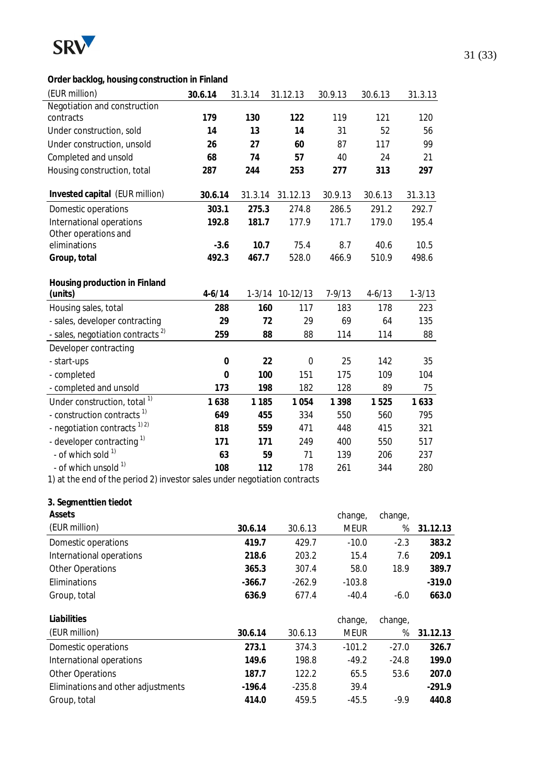

# **Order backlog, housing construction in Finland**

| (EUR million)                                                             | 30.6.14          | 31.3.14  | 31.12.13        | 30.9.13     | 30.6.13  | 31.3.13          |  |
|---------------------------------------------------------------------------|------------------|----------|-----------------|-------------|----------|------------------|--|
| Negotiation and construction                                              |                  |          |                 |             |          |                  |  |
| contracts                                                                 | 179              | 130      | 122             | 119         | 121      | 120              |  |
| Under construction, sold                                                  | 14               | 13       | 14              | 31          | 52       | 56               |  |
| Under construction, unsold                                                | 26               | 27       | 60              | 87          | 117      | 99               |  |
| Completed and unsold                                                      | 68               | 74       | 57              | 40          | 24       | 21               |  |
| Housing construction, total                                               | 287              | 244      | 253             | 277         | 313      | 297              |  |
| Invested capital (EUR million)                                            | 30.6.14          | 31.3.14  | 31.12.13        | 30.9.13     | 30.6.13  | 31.3.13          |  |
| Domestic operations                                                       | 303.1            | 275.3    | 274.8           | 286.5       | 291.2    | 292.7            |  |
| International operations                                                  | 192.8            | 181.7    | 177.9           | 171.7       | 179.0    | 195.4            |  |
| Other operations and<br>eliminations                                      | $-3.6$           | 10.7     | 75.4            | 8.7         | 40.6     | 10.5             |  |
| Group, total                                                              | 492.3            | 467.7    | 528.0           | 466.9       | 510.9    | 498.6            |  |
|                                                                           |                  |          |                 |             |          |                  |  |
| Housing production in Finland<br>(units)                                  | $4-6/14$         |          | 1-3/14 10-12/13 | $7 - 9/13$  | $4-6/13$ | $1 - 3/13$       |  |
| Housing sales, total                                                      | 288              | 160      | 117             | 183         | 178      | 223              |  |
| - sales, developer contracting                                            | 29               | 72       | 29              | 69          | 64       | 135              |  |
| - sales, negotiation contracts <sup>2)</sup>                              | 259              | 88       | 88              | 114         | 114      | 88               |  |
| Developer contracting                                                     |                  |          |                 |             |          |                  |  |
| - start-ups                                                               | $\boldsymbol{0}$ | 22       | $\mathbf 0$     | 25          | 142      | 35               |  |
| - completed                                                               | $\mathbf 0$      | 100      | 151             | 175         | 109      | 104              |  |
| - completed and unsold                                                    | 173              | 198      | 182             | 128         | 89       | 75               |  |
| Under construction, total <sup>1)</sup>                                   | 1638             | 1 1 8 5  | 1 0 5 4         | 1 3 9 8     | 1525     | 1633             |  |
| - construction contracts <sup>1)</sup>                                    | 649              | 455      | 334             | 550         | 560      | 795              |  |
| - negotiation contracts <sup>1)2)</sup>                                   | 818              | 559      | 471             | 448         | 415      | 321              |  |
| - developer contracting <sup>1)</sup>                                     | 171              | 171      | 249             | 400         | 550      | 517              |  |
| - of which sold 1)                                                        | 63               | 59       | 71              | 139         | 206      | 237              |  |
| - of which unsold <sup>1)</sup>                                           | 108              | 112      | 178             | 261         | 344      | 280              |  |
| 1) at the end of the period 2) investor sales under negotiation contracts |                  |          |                 |             |          |                  |  |
| 3. Segmenttien tiedot                                                     |                  |          |                 |             |          |                  |  |
| Assets                                                                    |                  |          |                 | change,     | change,  |                  |  |
| (EUR million)                                                             |                  | 30.6.14  | 30.6.13         | <b>MEUR</b> |          | %<br>31.12.13    |  |
| Domestic operations                                                       |                  | 419.7    | 429.7           | $-10.0$     |          | 383.2<br>$-2.3$  |  |
| International operations                                                  |                  | 218.6    | 203.2           |             | 15.4     | 7.6<br>209.1     |  |
| <b>Other Operations</b>                                                   |                  | 365.3    | 307.4           |             | 58.0     | 18.9<br>389.7    |  |
| Eliminations                                                              |                  | $-366.7$ | $-262.9$        | $-103.8$    |          | $-319.0$         |  |
| Group, total                                                              |                  | 636.9    | 677.4           | $-40.4$     |          | $-6.0$<br>663.0  |  |
| Liabilities                                                               |                  |          |                 | change,     | change,  |                  |  |
| (EUR million)                                                             |                  | 30.6.14  | 30.6.13         | <b>MEUR</b> |          | %<br>31.12.13    |  |
| Domestic operations                                                       |                  | 273.1    | 374.3           | $-101.2$    |          | $-27.0$<br>326.7 |  |
| International operations                                                  |                  | 149.6    | 198.8           | $-49.2$     |          | $-24.8$<br>199.0 |  |
| <b>Other Operations</b>                                                   |                  | 187.7    | 122.2           |             | 65.5     | 53.6<br>207.0    |  |
| Eliminations and other adjustments                                        |                  | $-196.4$ | $-235.8$        |             | 39.4     | $-291.9$         |  |
| Group, total                                                              |                  | 414.0    | 459.5           | $-45.5$     |          | 440.8<br>$-9.9$  |  |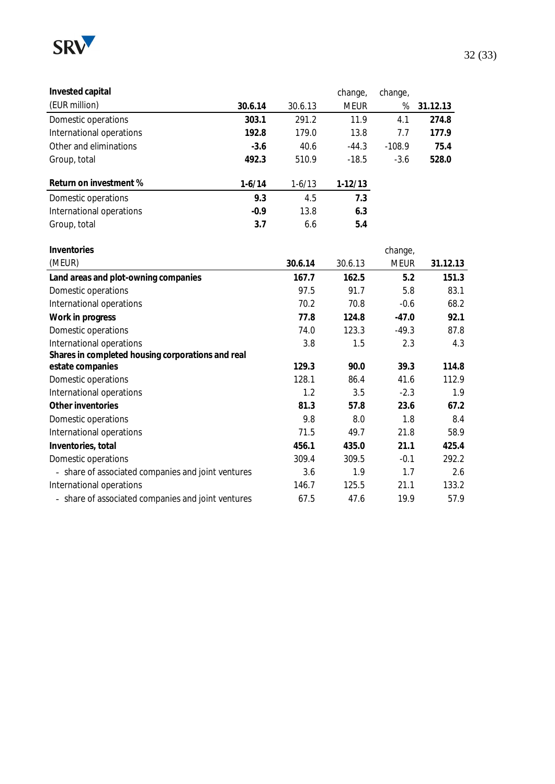

| Invested capital         |          |          | change,     | change,  |          |
|--------------------------|----------|----------|-------------|----------|----------|
| (EUR million)            | 30.6.14  | 30.6.13  | <b>MEUR</b> | %        | 31.12.13 |
| Domestic operations      | 303.1    | 291.2    | 11.9        | 4.1      | 274.8    |
| International operations | 192.8    | 179.0    | 13.8        | 7.7      | 177.9    |
| Other and eliminations   | $-3.6$   | 40.6     | $-44.3$     | $-108.9$ | 75.4     |
| Group, total             | 492.3    | 510.9    | $-18.5$     | $-3.6$   | 528.0    |
| Return on investment %   | $1-6/14$ | $1-6/13$ | $1-12/13$   |          |          |
| Domestic operations      | 9.3      | 4.5      | 7.3         |          |          |
| International operations | $-0.9$   | 13.8     | 6.3         |          |          |
| Group, total             | 3.7      | 6.6      | 5.4         |          |          |

| Inventories                                        |         |         | change,     |          |
|----------------------------------------------------|---------|---------|-------------|----------|
| (MEUR)                                             | 30.6.14 | 30.6.13 | <b>MEUR</b> | 31.12.13 |
| Land areas and plot-owning companies               | 167.7   | 162.5   | 5.2         | 151.3    |
| Domestic operations                                | 97.5    | 91.7    | 5.8         | 83.1     |
| International operations                           | 70.2    | 70.8    | $-0.6$      | 68.2     |
| Work in progress                                   | 77.8    | 124.8   | $-47.0$     | 92.1     |
| Domestic operations                                | 74.0    | 123.3   | $-49.3$     | 87.8     |
| International operations                           | 3.8     | 1.5     | 2.3         | 4.3      |
| Shares in completed housing corporations and real  |         |         |             |          |
| estate companies                                   | 129.3   | 90.0    | 39.3        | 114.8    |
| Domestic operations                                | 128.1   | 86.4    | 41.6        | 112.9    |
| International operations                           | 1.2     | 3.5     | $-2.3$      | 1.9      |
| Other inventories                                  | 81.3    | 57.8    | 23.6        | 67.2     |
| Domestic operations                                | 9.8     | 8.0     | 1.8         | 8.4      |
| International operations                           | 71.5    | 49.7    | 21.8        | 58.9     |
| Inventories, total                                 | 456.1   | 435.0   | 21.1        | 425.4    |
| Domestic operations                                | 309.4   | 309.5   | $-0.1$      | 292.2    |
| - share of associated companies and joint ventures | 3.6     | 1.9     | 1.7         | 2.6      |
| International operations                           | 146.7   | 125.5   | 21.1        | 133.2    |
| - share of associated companies and joint ventures | 67.5    | 47.6    | 19.9        | 57.9     |